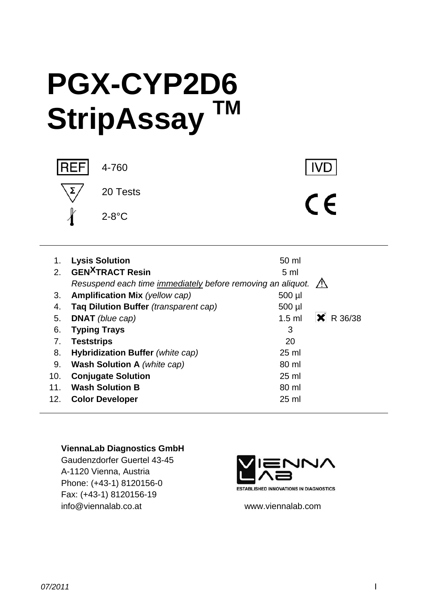# **PGX-CYP2D6 StripAssay TM**



4-760

 $\epsilon$ 

**IVD** 

 1. **Lysis Solution** 50 ml 2. **GEN<sup>X</sup>TRACT Resin** 5 ml  *Resuspend each time immediately before removing an aliquot.*  3. **Amplification Mix** (yellow cap) 500 µ 4. **Taq Dilution Buffer** *(transparent cap)* 500 µl 5. **DNAT** (blue cap) **1.5 ml**  $\vert$  **<b>X** R 36/38 6. **Typing Trays** 3 7. **Teststrips** 20 8. **Hybridization Buffer** *(white cap)* 25 ml 9. **Wash Solution A** *(white cap)* 80 ml 10. **Conjugate Solution** 25 ml 11. **Wash Solution B** 80 ml 12. **Color Developer** 25 ml

#### **ViennaLab Diagnostics GmbH**

Gaudenzdorfer Guertel 43-45 A-1120 Vienna, Austria Phone: (+43-1) 8120156-0 Fax: (+43-1) 8120156-19 info@viennalab.co.at www.viennalab.com



**ESTABLISHED INNOVATIONS IN DIAGNOSTICS**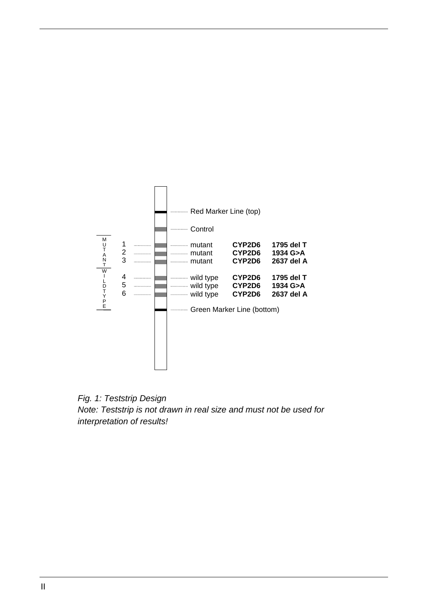

*Fig. 1: Teststrip Design Note: Teststrip is not drawn in real size and must not be used for interpretation of results!*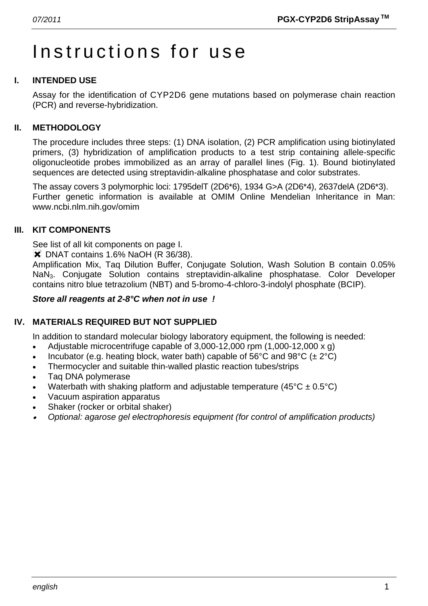# Instructions for use

# **I. INTENDED USE**

Assay for the identification of CYP2D6 gene mutations based on polymerase chain reaction (PCR) and reverse-hybridization.

### **II. METHODOLOGY**

The procedure includes three steps: (1) DNA isolation, (2) PCR amplification using biotinylated primers, (3) hybridization of amplification products to a test strip containing allele-specific oligonucleotide probes immobilized as an array of parallel lines (Fig. 1). Bound biotinylated sequences are detected using streptavidin-alkaline phosphatase and color substrates.

The assay covers 3 polymorphic loci: 1795delT (2D6\*6), 1934 G>A (2D6\*4), 2637delA (2D6\*3). Further genetic information is available at OMIM Online Mendelian Inheritance in Man: www.ncbi.nlm.nih.gov/omim

#### **III. KIT COMPONENTS**

See list of all kit components on page I.

**\*** DNAT contains 1.6% NaOH (R 36/38).

Amplification Mix, Taq Dilution Buffer, Conjugate Solution, Wash Solution B contain 0.05% NaN3. Conjugate Solution contains streptavidin-alkaline phosphatase. Color Developer contains nitro blue tetrazolium (NBT) and 5-bromo-4-chloro-3-indolyl phosphate (BCIP).

#### *Store all reagents at 2-8°C when not in use !*

# **IV. MATERIALS REQUIRED BUT NOT SUPPLIED**

In addition to standard molecular biology laboratory equipment, the following is needed:

- Adjustable microcentrifuge capable of  $3,000-12,000$  rpm  $(1,000-12,000 \times g)$
- Incubator (e.g. heating block, water bath) capable of 56°C and 98°C ( $\pm 2$ °C)
- Thermocycler and suitable thin-walled plastic reaction tubes/strips
- Taq DNA polymerase
- Waterbath with shaking platform and adjustable temperature ( $45^{\circ}$ C ± 0.5°C)
- Vacuum aspiration apparatus
- Shaker (rocker or orbital shaker)
- • *Optional: agarose gel electrophoresis equipment (for control of amplification products)*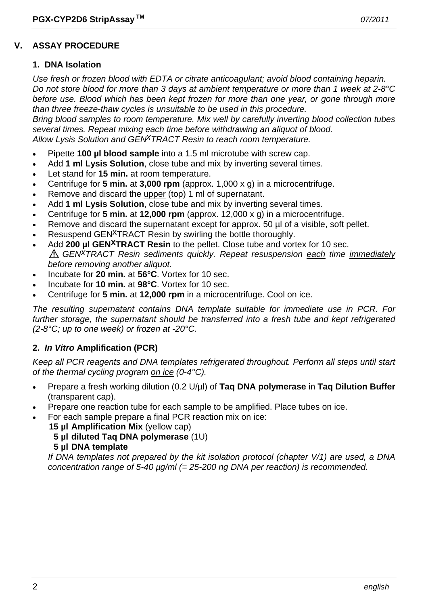### **V. ASSAY PROCEDURE**

#### **1. DNA Isolation**

*Use fresh or frozen blood with EDTA or citrate anticoagulant; avoid blood containing heparin. Do not store blood for more than 3 days at ambient temperature or more than 1 week at 2-8°C before use. Blood which has been kept frozen for more than one year, or gone through more than three freeze-thaw cycles is unsuitable to be used in this procedure.* 

*Bring blood samples to room temperature. Mix well by carefully inverting blood collection tubes several times. Repeat mixing each time before withdrawing an aliquot of blood. Allow Lysis Solution and GENxTRACT Resin to reach room temperature.*

- Pipette **100 µl blood sample** into a 1.5 ml microtube with screw cap.
- Add **1 ml Lysis Solution**, close tube and mix by inverting several times.
- Let stand for **15 min.** at room temperature.
- Centrifuge for **5 min.** at **3,000 rpm** (approx. 1,000 x g) in a microcentrifuge.
- Remove and discard the upper (top) 1 ml of supernatant.
- Add **1 ml Lysis Solution**, close tube and mix by inverting several times.
- Centrifuge for **5 min.** at **12,000 rpm** (approx. 12,000 x g) in a microcentrifuge.
- Remove and discard the supernatant except for approx. 50 µl of a visible, soft pellet.
- Resuspend GEN<sup>X</sup>TRACT Resin by swirling the bottle thoroughly.
- Add **200 µl GEN<sup>X</sup>TRACT Resin** to the pellet. Close tube and vortex for 10 sec. *GENxTRACT Resin sediments quickly. Repeat resuspension each time immediately before removing another aliquot.*
- Incubate for **20 min.** at **56°C**. Vortex for 10 sec.
- Incubate for **10 min.** at **98°C**. Vortex for 10 sec.
- Centrifuge for **5 min.** at **12,000 rpm** in a microcentrifuge. Cool on ice.

*The resulting supernatant contains DNA template suitable for immediate use in PCR. For further storage, the supernatant should be transferred into a fresh tube and kept refrigerated (2-8°C; up to one week) or frozen at -20°C.* 

#### **2.** *In Vitro* **Amplification (PCR)**

*Keep all PCR reagents and DNA templates refrigerated throughout. Perform all steps until start of the thermal cycling program on ice (0-4°C).* 

- Prepare a fresh working dilution (0.2 U/µl) of **Taq DNA polymerase** in **Taq Dilution Buffer** (transparent cap).
- Prepare one reaction tube for each sample to be amplified. Place tubes on ice.
- For each sample prepare a final PCR reaction mix on ice:
	- **15 µl Amplification Mix** (yellow cap)
		- **5 µl diluted Taq DNA polymerase** (1U)
		- **5 µl DNA template**

 *If DNA templates not prepared by the kit isolation protocol (chapter V/1) are used, a DNA concentration range of 5-40 µg/ml (= 25-200 ng DNA per reaction) is recommended.*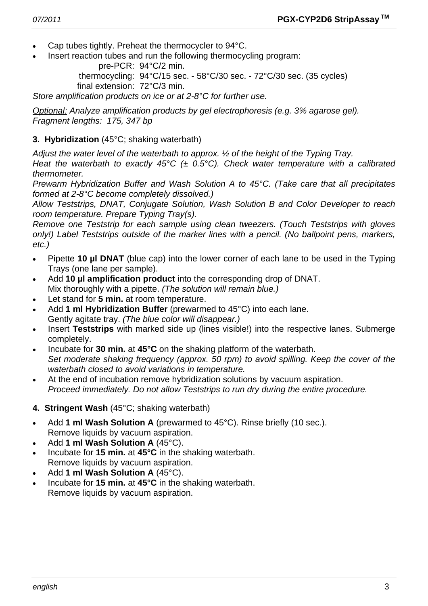- Cap tubes tightly. Preheat the thermocycler to 94°C.
- Insert reaction tubes and run the following thermocycling program:

pre-PCR: 94°C/2 min.

 thermocycling: 94°C/15 sec. - 58°C/30 sec. - 72°C/30 sec. (35 cycles) final extension: 72°C/3 min.

*Store amplification products on ice or at 2-8°C for further use.* 

*Optional: Analyze amplification products by gel electrophoresis (e.g. 3% agarose gel). Fragment lengths: 175, 347 bp* 

# **3. Hybridization** (45°C; shaking waterbath)

*Adjust the water level of the waterbath to approx. ½ of the height of the Typing Tray.* 

*Heat the waterbath to exactly 45°C (± 0.5°C). Check water temperature with a calibrated thermometer.* 

*Prewarm Hybridization Buffer and Wash Solution A to 45°C. (Take care that all precipitates formed at 2-8°C become completely dissolved.)* 

*Allow Teststrips, DNAT, Conjugate Solution, Wash Solution B and Color Developer to reach room temperature. Prepare Typing Tray(s).* 

*Remove one Teststrip for each sample using clean tweezers. (Touch Teststrips with gloves only!) Label Teststrips outside of the marker lines with a pencil. (No ballpoint pens, markers, etc.)* 

- Pipette **10 µl DNAT** (blue cap) into the lower corner of each lane to be used in the Typing Trays (one lane per sample).
- Add **10 µl amplification product** into the corresponding drop of DNAT. Mix thoroughly with a pipette. *(The solution will remain blue.)*
- Let stand for **5 min.** at room temperature.
- Add **1 ml Hybridization Buffer** (prewarmed to 45°C) into each lane. Gently agitate tray. *(The blue color will disappear.)*
- Insert **Teststrips** with marked side up (lines visible!) into the respective lanes. Submerge completely.
- Incubate for **30 min.** at **45°C** on the shaking platform of the waterbath.  *Set moderate shaking frequency (approx. 50 rpm) to avoid spilling. Keep the cover of the waterbath closed to avoid variations in temperature.*
- At the end of incubation remove hybridization solutions by vacuum aspiration.  *Proceed immediately. Do not allow Teststrips to run dry during the entire procedure.*
- **4. Stringent Wash** (45°C; shaking waterbath)
- Add **1 ml Wash Solution A** (prewarmed to 45°C). Rinse briefly (10 sec.). Remove liquids by vacuum aspiration.
- Add **1 ml Wash Solution A** (45°C).
- Incubate for **15 min.** at **45°C** in the shaking waterbath. Remove liquids by vacuum aspiration.
- Add **1 ml Wash Solution A** (45°C).
- Incubate for **15 min.** at **45°C** in the shaking waterbath. Remove liquids by vacuum aspiration.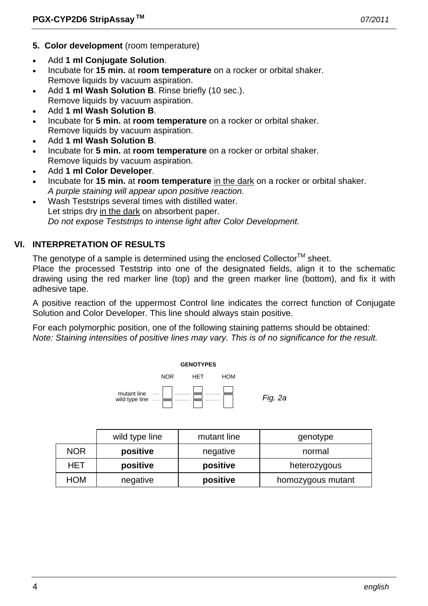- **5. Color development** (room temperature)
- Add **1 ml Conjugate Solution**.
- Incubate for **15 min.** at **room temperature** on a rocker or orbital shaker. Remove liquids by vacuum aspiration.
- Add 1 ml Wash Solution B. Rinse briefly (10 sec.). Remove liquids by vacuum aspiration.
- Add **1 ml Wash Solution B**.
- Incubate for **5 min.** at **room temperature** on a rocker or orbital shaker. Remove liquids by vacuum aspiration.
- Add **1 ml Wash Solution B**.
- Incubate for **5 min.** at **room temperature** on a rocker or orbital shaker. Remove liquids by vacuum aspiration.
- Add **1 ml Color Developer**.
- Incubate for **15 min.** at **room temperature** in the dark on a rocker or orbital shaker.  *A purple staining will appear upon positive reaction.*
- Wash Teststrips several times with distilled water. Let strips dry in the dark on absorbent paper.  *Do not expose Teststrips to intense light after Color Development.*

# **VI. INTERPRETATION OF RESULTS**

The genotype of a sample is determined using the enclosed Collector<sup>TM</sup> sheet.

Place the processed Teststrip into one of the designated fields, align it to the schematic drawing using the red marker line (top) and the green marker line (bottom), and fix it with adhesive tape.

A positive reaction of the uppermost Control line indicates the correct function of Conjugate Solution and Color Developer. This line should always stain positive.

For each polymorphic position, one of the following staining patterns should be obtained: *Note: Staining intensities of positive lines may vary. This is of no significance for the result.* 



|            | wild type line | mutant line | genotype          |
|------------|----------------|-------------|-------------------|
| <b>NOR</b> | positive       | negative    | normal            |
| HET        | positive       | positive    | heterozygous      |
| <b>HOM</b> | negative       | positive    | homozygous mutant |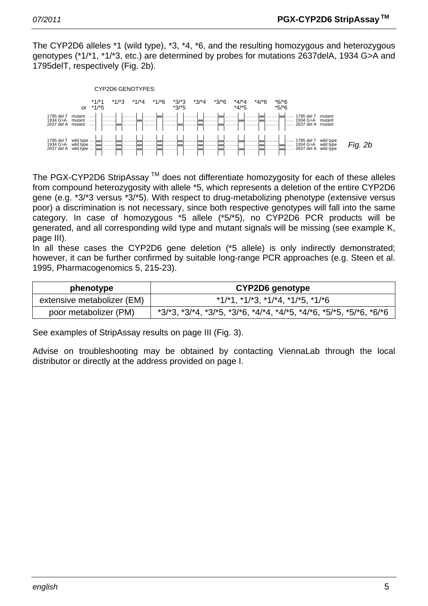The CYP2D6 alleles \*1 (wild type), \*3, \*4, \*6, and the resulting homozygous and heterozygous genotypes (\*1/\*1, \*1/\*3, etc.) are determined by probes for mutations 2637delA, 1934 G>A and 1795delT, respectively (Fig. 2b).



The PGX-CYP2D6 StripAssay  $TM$  does not differentiate homozygosity for each of these alleles from compound heterozygosity with allele \*5, which represents a deletion of the entire CYP2D6 gene (e.g. \*3/\*3 versus \*3/\*5). With respect to drug-metabolizing phenotype (extensive versus poor) a discrimination is not necessary, since both respective genotypes will fall into the same category. In case of homozygous \*5 allele (\*5/\*5), no CYP2D6 PCR products will be generated, and all corresponding wild type and mutant signals will be missing (see example K, page III).

In all these cases the CYP2D6 gene deletion (\*5 allele) is only indirectly demonstrated; however, it can be further confirmed by suitable long-range PCR approaches (e.g. Steen et al. 1995, Pharmacogenomics 5, 215-23).

| phenotype                  | CYP2D6 genotype                                                                         |  |
|----------------------------|-----------------------------------------------------------------------------------------|--|
| extensive metabolizer (EM) | $*1/1$ , $*1/13$ , $*1/14$ , $*1/15$ , $*1/16$                                          |  |
| poor metabolizer (PM)      | $*3/3$ , $*3/4$ , $*3/5$ , $*3/6$ , $*4/4$ , $*4/5$ , $*4/6$ , $*5/5$ , $*5/6$ , $*6/6$ |  |

See examples of StripAssay results on page III (Fig. 3).

Advise on troubleshooting may be obtained by contacting ViennaLab through the local distributor or directly at the address provided on page I.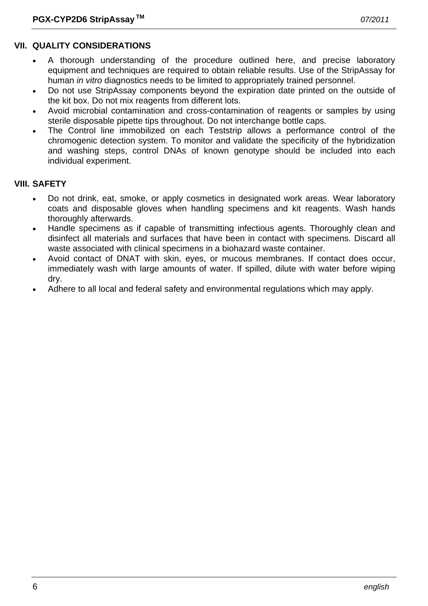### **VII. QUALITY CONSIDERATIONS**

- A thorough understanding of the procedure outlined here, and precise laboratory equipment and techniques are required to obtain reliable results. Use of the StripAssay for human *in vitro* diagnostics needs to be limited to appropriately trained personnel.
- Do not use StripAssay components beyond the expiration date printed on the outside of the kit box. Do not mix reagents from different lots.
- Avoid microbial contamination and cross-contamination of reagents or samples by using sterile disposable pipette tips throughout. Do not interchange bottle caps.
- The Control line immobilized on each Teststrip allows a performance control of the chromogenic detection system. To monitor and validate the specificity of the hybridization and washing steps, control DNAs of known genotype should be included into each individual experiment.

#### **VIII. SAFETY**

- Do not drink, eat, smoke, or apply cosmetics in designated work areas. Wear laboratory coats and disposable gloves when handling specimens and kit reagents. Wash hands thoroughly afterwards.
- Handle specimens as if capable of transmitting infectious agents. Thoroughly clean and disinfect all materials and surfaces that have been in contact with specimens. Discard all waste associated with clinical specimens in a biohazard waste container.
- Avoid contact of DNAT with skin, eyes, or mucous membranes. If contact does occur, immediately wash with large amounts of water. If spilled, dilute with water before wiping dry.
- Adhere to all local and federal safety and environmental regulations which may apply.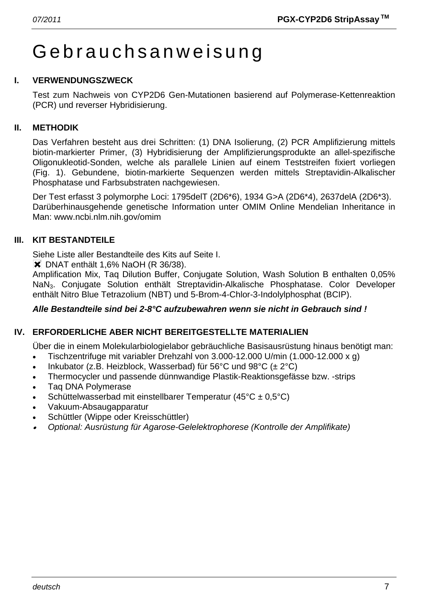# Gebrauchsanweisung

# **I. VERWENDUNGSZWECK**

Test zum Nachweis von CYP2D6 Gen-Mutationen basierend auf Polymerase-Kettenreaktion (PCR) und reverser Hybridisierung.

# **II. METHODIK**

Das Verfahren besteht aus drei Schritten: (1) DNA Isolierung, (2) PCR Amplifizierung mittels biotin-markierter Primer, (3) Hybridisierung der Amplifizierungsprodukte an allel-spezifische Oligonukleotid-Sonden, welche als parallele Linien auf einem Teststreifen fixiert vorliegen (Fig. 1). Gebundene, biotin-markierte Sequenzen werden mittels Streptavidin-Alkalischer Phosphatase und Farbsubstraten nachgewiesen.

Der Test erfasst 3 polymorphe Loci: 1795delT (2D6\*6), 1934 G>A (2D6\*4), 2637delA (2D6\*3). Darüberhinausgehende genetische Information unter OMIM Online Mendelian Inheritance in Man: www.ncbi.nlm.nih.gov/omim

# **III. KIT BESTANDTEILE**

Siehe Liste aller Bestandteile des Kits auf Seite I.

**X** DNAT enthält 1.6% NaOH (R 36/38).

Amplification Mix, Taq Dilution Buffer, Conjugate Solution, Wash Solution B enthalten 0,05% NaN3. Conjugate Solution enthält Streptavidin-Alkalische Phosphatase. Color Developer enthält Nitro Blue Tetrazolium (NBT) und 5-Brom-4-Chlor-3-Indolylphosphat (BCIP).

# *Alle Bestandteile sind bei 2-8°C aufzubewahren wenn sie nicht in Gebrauch sind !*

# **IV. ERFORDERLICHE ABER NICHT BEREITGESTELLTE MATERIALIEN**

Über die in einem Molekularbiologielabor gebräuchliche Basisausrüstung hinaus benötigt man:

- Tischzentrifuge mit variabler Drehzahl von 3.000-12.000 U/min (1.000-12.000 x g)
- Inkubator (z.B. Heizblock, Wasserbad) für 56°C und 98°C ( $\pm 2$ °C)
- Thermocycler und passende dünnwandige Plastik-Reaktionsgefässe bzw. -strips
- Taq DNA Polymerase
- Schüttelwasserbad mit einstellbarer Temperatur (45°C ± 0,5°C)
- Vakuum-Absaugapparatur
- Schüttler (Wippe oder Kreisschüttler)
- • *Optional: Ausrüstung für Agarose-Gelelektrophorese (Kontrolle der Amplifikate)*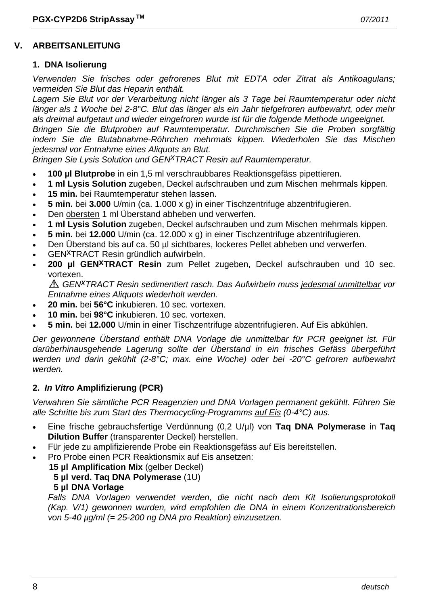#### **V. ARBEITSANLEITUNG**

#### **1. DNA Isolierung**

*Verwenden Sie frisches oder gefrorenes Blut mit EDTA oder Zitrat als Antikoagulans; vermeiden Sie Blut das Heparin enthält.* 

*Lagern Sie Blut vor der Verarbeitung nicht länger als 3 Tage bei Raumtemperatur oder nicht länger als 1 Woche bei 2-8°C. Blut das länger als ein Jahr tiefgefroren aufbewahrt, oder mehr als dreimal aufgetaut und wieder eingefroren wurde ist für die folgende Methode ungeeignet. Bringen Sie die Blutproben auf Raumtemperatur. Durchmischen Sie die Proben sorgfältig* 

*indem Sie die Blutabnahme-Röhrchen mehrmals kippen. Wiederholen Sie das Mischen jedesmal vor Entnahme eines Aliquots an Blut.* 

*Bringen Sie Lysis Solution und GEN<sup>X</sup>TRACT Resin auf Raumtemperatur.* 

- **100 µl Blutprobe** in ein 1,5 ml verschraubbares Reaktionsgefäss pipettieren.
- **1 ml Lysis Solution** zugeben, Deckel aufschrauben und zum Mischen mehrmals kippen.
- **15 min.** bei Raumtemperatur stehen lassen.
- **5 min.** bei **3.000** U/min (ca. 1.000 x g) in einer Tischzentrifuge abzentrifugieren.
- Den obersten 1 ml Überstand abheben und verwerfen.
- **1 ml Lysis Solution** zugeben, Deckel aufschrauben und zum Mischen mehrmals kippen.
- **5 min.** bei **12.000** U/min (ca. 12.000 x g) in einer Tischzentrifuge abzentrifugieren.
- Den Überstand bis auf ca. 50 µl sichtbares, lockeres Pellet abheben und verwerfen.
- GENxTRACT Resin gründlich aufwirbeln.
- **200 µl GENxTRACT Resin** zum Pellet zugeben, Deckel aufschrauben und 10 sec. vortexen.

*GENxTRACT Resin sedimentiert rasch. Das Aufwirbeln muss jedesmal unmittelbar vor Entnahme eines Aliquots wiederholt werden.* 

- **20 min.** bei **56°C** inkubieren. 10 sec. vortexen.
- **10 min.** bei **98°C** inkubieren. 10 sec. vortexen.
- **5 min.** bei **12.000** U/min in einer Tischzentrifuge abzentrifugieren. Auf Eis abkühlen.

*Der gewonnene Überstand enthält DNA Vorlage die unmittelbar für PCR geeignet ist. Für darüberhinausgehende Lagerung sollte der Überstand in ein frisches Gefäss übergeführt werden und darin gekühlt (2-8°C; max. eine Woche) oder bei -20°C gefroren aufbewahrt werden.* 

# **2.** *In Vitro* **Amplifizierung (PCR)**

*Verwahren Sie sämtliche PCR Reagenzien und DNA Vorlagen permanent gekühlt. Führen Sie alle Schritte bis zum Start des Thermocycling-Programms auf Eis (0-4°C) aus.* 

- Eine frische gebrauchsfertige Verdünnung (0,2 U/µl) von **Taq DNA Polymerase** in **Taq Dilution Buffer** (transparenter Deckel) herstellen.
- Für jede zu amplifizierende Probe ein Reaktionsgefäss auf Eis bereitstellen.
- Pro Probe einen PCR Reaktionsmix auf Eis ansetzen:
	- **15 µl Amplification Mix** (gelber Deckel)

# **5 µl verd. Taq DNA Polymerase** (1U)

**5 µl DNA Vorlage**

Falls DNA Vorlagen verwendet werden, die nicht nach dem Kit Isolierungsprotokoll *(Kap. V/1) gewonnen wurden, wird empfohlen die DNA in einem Konzentrationsbereich von 5-40 µg/ml (= 25-200 ng DNA pro Reaktion) einzusetzen.*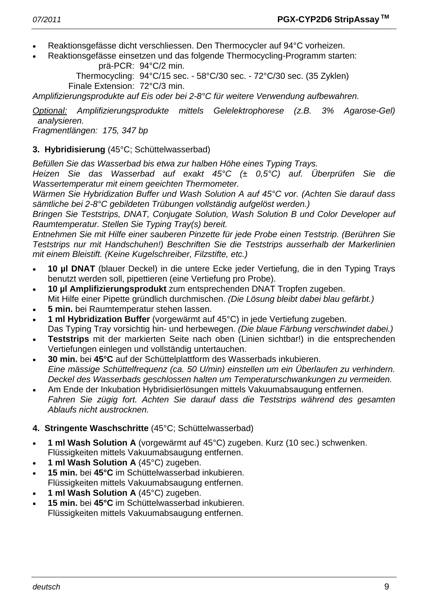- Reaktionsgefässe dicht verschliessen. Den Thermocycler auf 94°C vorheizen.
- Reaktionsgefässe einsetzen und das folgende Thermocycling-Programm starten: prä-PCR: 94°C/2 min.

 Thermocycling: 94°C/15 sec. - 58°C/30 sec. - 72°C/30 sec. (35 Zyklen) Finale Extension: 72°C/3 min.

*Amplifizierungsprodukte auf Eis oder bei 2-8°C für weitere Verwendung aufbewahren.* 

*Optional: Amplifizierungsprodukte mittels Gelelektrophorese (z.B. 3% Agarose-Gel) analysieren.* 

*Fragmentlängen: 175, 347 bp* 

# **3. Hybridisierung** (45°C; Schüttelwasserbad)

*Befüllen Sie das Wasserbad bis etwa zur halben Höhe eines Typing Trays.* 

*Heizen Sie das Wasserbad auf exakt 45°C (± 0,5°C) auf. Überprüfen Sie die Wassertemperatur mit einem geeichten Thermometer.* 

*Wärmen Sie Hybridization Buffer und Wash Solution A auf 45°C vor. (Achten Sie darauf dass sämtliche bei 2-8°C gebildeten Trübungen vollständig aufgelöst werden.)* 

*Bringen Sie Teststrips, DNAT, Conjugate Solution, Wash Solution B und Color Developer auf Raumtemperatur. Stellen Sie Typing Tray(s) bereit.* 

*Entnehmen Sie mit Hilfe einer sauberen Pinzette für jede Probe einen Teststrip. (Berühren Sie Teststrips nur mit Handschuhen!) Beschriften Sie die Teststrips ausserhalb der Markerlinien mit einem Bleistift. (Keine Kugelschreiber, Filzstifte, etc.)* 

- **10 µl DNAT** (blauer Deckel) in die untere Ecke jeder Vertiefung, die in den Typing Trays benutzt werden soll, pipettieren (eine Vertiefung pro Probe).
- **10 µl Amplifizierungsprodukt** zum entsprechenden DNAT Tropfen zugeben. Mit Hilfe einer Pipette gründlich durchmischen. *(Die Lösung bleibt dabei blau gefärbt.)*
- **5 min.** bei Raumtemperatur stehen lassen.
- **1 ml Hybridization Buffer** (vorgewärmt auf 45°C) in jede Vertiefung zugeben. Das Typing Tray vorsichtig hin- und herbewegen. *(Die blaue Färbung verschwindet dabei.)*
- **Teststrips** mit der markierten Seite nach oben (Linien sichtbar!) in die entsprechenden Vertiefungen einlegen und vollständig untertauchen.
- **30 min.** bei **45°C** auf der Schüttelplattform des Wasserbads inkubieren.  *Eine mässige Schüttelfrequenz (ca. 50 U/min) einstellen um ein Überlaufen zu verhindern. Deckel des Wasserbads geschlossen halten um Temperaturschwankungen zu vermeiden.*
- Am Ende der Inkubation Hybridisierlösungen mittels Vakuumabsaugung entfernen.  *Fahren Sie zügig fort. Achten Sie darauf dass die Teststrips während des gesamten Ablaufs nicht austrocknen.*

# **4. Stringente Waschschritte** (45°C; Schüttelwasserbad)

- **1 ml Wash Solution A** (vorgewärmt auf 45°C) zugeben. Kurz (10 sec.) schwenken. Flüssigkeiten mittels Vakuumabsaugung entfernen.
- **1 ml Wash Solution A** (45°C) zugeben.
- **15 min.** bei **45°C** im Schüttelwasserbad inkubieren. Flüssigkeiten mittels Vakuumabsaugung entfernen.
- **1 ml Wash Solution A** (45°C) zugeben.
- **15 min.** bei **45°C** im Schüttelwasserbad inkubieren. Flüssigkeiten mittels Vakuumabsaugung entfernen.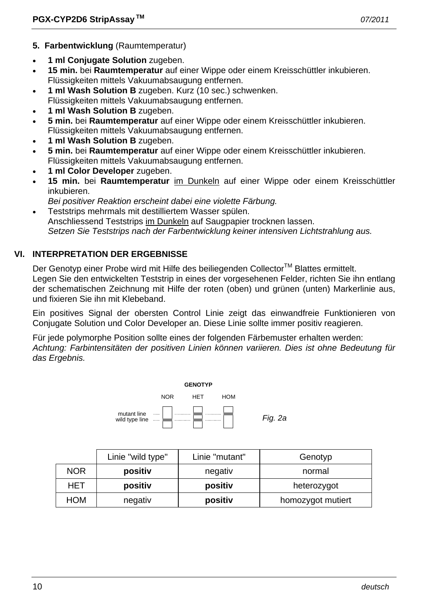- **5. Farbentwicklung** (Raumtemperatur)
- **1 ml Conjugate Solution** zugeben.
- **15 min.** bei **Raumtemperatur** auf einer Wippe oder einem Kreisschüttler inkubieren. Flüssigkeiten mittels Vakuumabsaugung entfernen.
- **1 ml Wash Solution B** zugeben. Kurz (10 sec.) schwenken.
- Flüssigkeiten mittels Vakuumabsaugung entfernen.
- **1 ml Wash Solution B** zugeben.
- **5 min.** bei **Raumtemperatur** auf einer Wippe oder einem Kreisschüttler inkubieren. Flüssigkeiten mittels Vakuumabsaugung entfernen.
- **1 ml Wash Solution B** zugeben.
- **5 min.** bei **Raumtemperatur** auf einer Wippe oder einem Kreisschüttler inkubieren. Flüssigkeiten mittels Vakuumabsaugung entfernen.
- **1 ml Color Developer** zugeben.
- **15 min.** bei **Raumtemperatur** im Dunkeln auf einer Wippe oder einem Kreisschüttler inkubieren.
	- *Bei positiver Reaktion erscheint dabei eine violette Färbung.*
- Teststrips mehrmals mit destilliertem Wasser spülen. Anschliessend Teststrips im Dunkeln auf Saugpapier trocknen lassen.  *Setzen Sie Teststrips nach der Farbentwicklung keiner intensiven Lichtstrahlung aus.*

# **VI. INTERPRETATION DER ERGEBNISSE**

Der Genotyp einer Probe wird mit Hilfe des beiliegenden Collector™ Blattes ermittelt. Legen Sie den entwickelten Teststrip in eines der vorgesehenen Felder, richten Sie ihn entlang der schematischen Zeichnung mit Hilfe der roten (oben) und grünen (unten) Markerlinie aus, und fixieren Sie ihn mit Klebeband.

Ein positives Signal der obersten Control Linie zeigt das einwandfreie Funktionieren von Conjugate Solution und Color Developer an. Diese Linie sollte immer positiv reagieren.

Für jede polymorphe Position sollte eines der folgenden Färbemuster erhalten werden: *Achtung: Farbintensitäten der positiven Linien können variieren. Dies ist ohne Bedeutung für das Ergebnis.* 



|            | Linie "wild type" | Linie "mutant" | Genotyp           |
|------------|-------------------|----------------|-------------------|
| <b>NOR</b> | positiv           | negativ        | normal            |
| HET        | positiv           | positiv        | heterozygot       |
| HOM        | negativ           | positiv        | homozygot mutiert |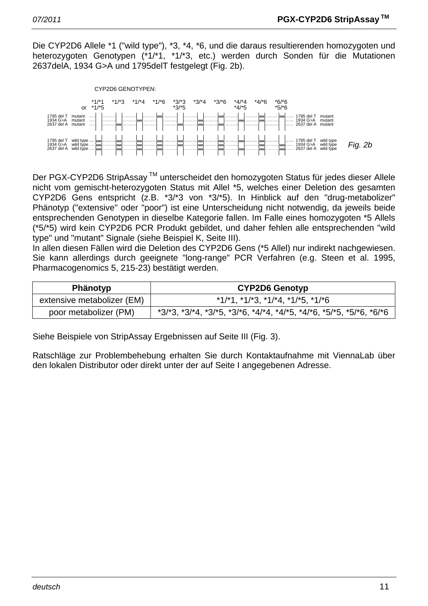Die CYP2D6 Allele \*1 ("wild type"), \*3, \*4, \*6, und die daraus resultierenden homozygoten und heterozygoten Genotypen (\*1/\*1, \*1/\*3, etc.) werden durch Sonden für die Mutationen 2637delA, 1934 G>A und 1795delT festgelegt (Fig. 2b).



Der PGX-CYP2D6 StripAssay<sup>™</sup> unterscheidet den homozygoten Status für jedes dieser Allele nicht vom gemischt-heterozygoten Status mit Allel \*5, welches einer Deletion des gesamten CYP2D6 Gens entspricht (z.B. \*3/\*3 von \*3/\*5). In Hinblick auf den "drug-metabolizer" Phänotyp ("extensive" oder "poor") ist eine Unterscheidung nicht notwendig, da jeweils beide entsprechenden Genotypen in dieselbe Kategorie fallen. Im Falle eines homozygoten \*5 Allels (\*5/\*5) wird kein CYP2D6 PCR Produkt gebildet, und daher fehlen alle entsprechenden "wild type" und "mutant" Signale (siehe Beispiel K, Seite III).

In allen diesen Fällen wird die Deletion des CYP2D6 Gens (\*5 Allel) nur indirekt nachgewiesen. Sie kann allerdings durch geeignete "long-range" PCR Verfahren (e.g. Steen et al. 1995, Pharmacogenomics 5, 215-23) bestätigt werden.

| <b>Phänotyp</b>            | <b>CYP2D6 Genotyp</b>                                                                   |  |
|----------------------------|-----------------------------------------------------------------------------------------|--|
| extensive metabolizer (EM) | $*1/1$ , $*1/13$ , $*1/14$ , $*1/15$ , $*1/16$                                          |  |
| poor metabolizer (PM)      | $*3/3$ , $*3/4$ , $*3/5$ , $*3/6$ , $*4/4$ , $*4/5$ , $*4/6$ , $*5/5$ , $*5/6$ , $*6/6$ |  |

Siehe Beispiele von StripAssay Ergebnissen auf Seite III (Fig. 3).

Ratschläge zur Problembehebung erhalten Sie durch Kontaktaufnahme mit ViennaLab über den lokalen Distributor oder direkt unter der auf Seite I angegebenen Adresse.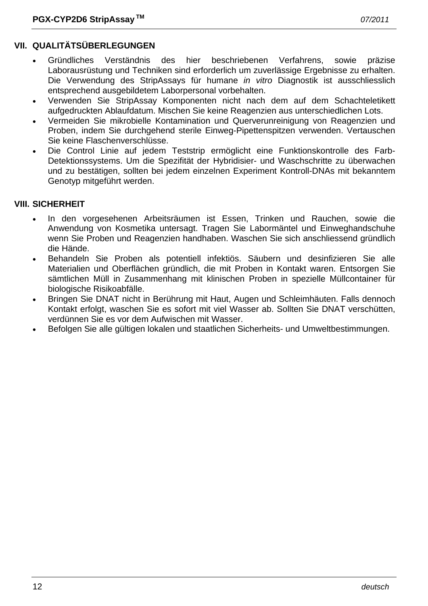# **VII. QUALITÄTSÜBERLEGUNGEN**

- Gründliches Verständnis des hier beschriebenen Verfahrens, sowie präzise Laborausrüstung und Techniken sind erforderlich um zuverlässige Ergebnisse zu erhalten. Die Verwendung des StripAssays für humane *in vitro* Diagnostik ist ausschliesslich entsprechend ausgebildetem Laborpersonal vorbehalten.
- Verwenden Sie StripAssay Komponenten nicht nach dem auf dem Schachteletikett aufgedruckten Ablaufdatum. Mischen Sie keine Reagenzien aus unterschiedlichen Lots.
- Vermeiden Sie mikrobielle Kontamination und Querverunreinigung von Reagenzien und Proben, indem Sie durchgehend sterile Einweg-Pipettenspitzen verwenden. Vertauschen Sie keine Flaschenverschlüsse.
- Die Control Linie auf jedem Teststrip ermöglicht eine Funktionskontrolle des Farb-Detektionssystems. Um die Spezifität der Hybridisier- und Waschschritte zu überwachen und zu bestätigen, sollten bei jedem einzelnen Experiment Kontroll-DNAs mit bekanntem Genotyp mitgeführt werden.

### **VIII. SICHERHEIT**

- In den vorgesehenen Arbeitsräumen ist Essen, Trinken und Rauchen, sowie die Anwendung von Kosmetika untersagt. Tragen Sie Labormäntel und Einweghandschuhe wenn Sie Proben und Reagenzien handhaben. Waschen Sie sich anschliessend gründlich die Hände.
- Behandeln Sie Proben als potentiell infektiös. Säubern und desinfizieren Sie alle Materialien und Oberflächen gründlich, die mit Proben in Kontakt waren. Entsorgen Sie sämtlichen Müll in Zusammenhang mit klinischen Proben in spezielle Müllcontainer für biologische Risikoabfälle.
- Bringen Sie DNAT nicht in Berührung mit Haut, Augen und Schleimhäuten. Falls dennoch Kontakt erfolgt, waschen Sie es sofort mit viel Wasser ab. Sollten Sie DNAT verschütten, verdünnen Sie es vor dem Aufwischen mit Wasser.
- Befolgen Sie alle gültigen lokalen und staatlichen Sicherheits- und Umweltbestimmungen.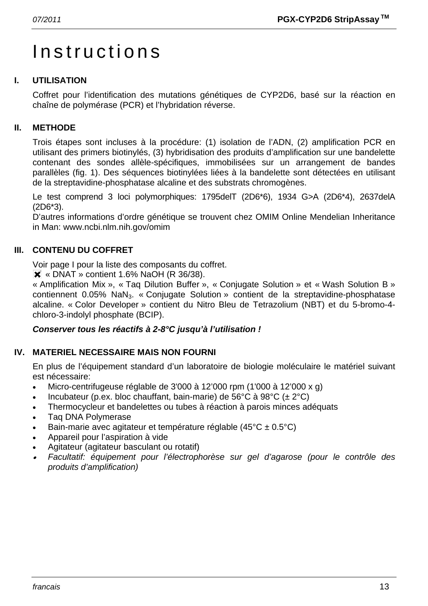# Instructions

# **I. UTILISATION**

Coffret pour l'identification des mutations génétiques de CYP2D6, basé sur la réaction en chaîne de polymérase (PCR) et l'hybridation réverse.

# **II. METHODE**

Trois étapes sont incluses à la procédure: (1) isolation de l'ADN, (2) amplification PCR en utilisant des primers biotinylés, (3) hybridisation des produits d'amplification sur une bandelette contenant des sondes allèle-spécifiques, immobilisées sur un arrangement de bandes parallèles (fig. 1). Des séquences biotinylées liées à la bandelette sont détectées en utilisant de la streptavidine-phosphatase alcaline et des substrats chromogènes.

Le test comprend 3 loci polymorphiques: 1795delT (2D6\*6), 1934 G>A (2D6\*4), 2637delA (2D6\*3).

D'autres informations d'ordre génétique se trouvent chez OMIM Online Mendelian Inheritance in Man: www.ncbi.nlm.nih.gov/omim

# **III. CONTENU DU COFFRET**

Voir page I pour la liste des composants du coffret.

 $\overline{\mathsf{X}}$  « DNAT » contient 1.6% NaOH (R 36/38).

« Amplification Mix », « Taq Dilution Buffer », « Conjugate Solution » et « Wash Solution B » contiennent 0.05% NaN<sub>3</sub>. « Conjugate Solution » contient de la streptavidine-phosphatase alcaline. « Color Developer » contient du Nitro Bleu de Tetrazolium (NBT) et du 5-bromo-4 chloro-3-indolyl phosphate (BCIP).

#### *Conserver tous les réactifs à 2-8°C jusqu'à l'utilisation !*

# **IV. MATERIEL NECESSAIRE MAIS NON FOURNI**

En plus de l'équipement standard d'un laboratoire de biologie moléculaire le matériel suivant est nécessaire:

- Micro-centrifugeuse réglable de 3'000 à 12'000 rpm (1'000 à 12'000 x g)
- Incubateur (p.ex. bloc chauffant, bain-marie) de 56°C à 98°C ( $\pm$  2°C)
- Thermocycleur et bandelettes ou tubes à réaction à parois minces adéquats
- Taq DNA Polymerase
- Bain-marie avec agitateur et température réglable (45°C ± 0.5°C)
- Appareil pour l'aspiration à vide
- Agitateur (agitateur basculant ou rotatif)
- • *Facultatif: équipement pour l'électrophorèse sur gel d'agarose (pour le contrôle des produits d'amplification)*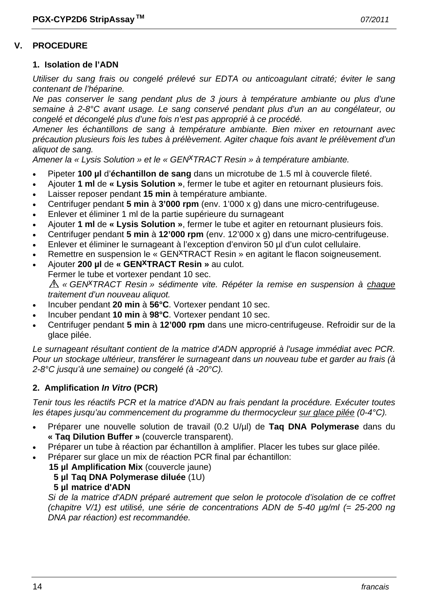#### **V. PROCEDURE**

#### **1. Isolation de l'ADN**

*Utiliser du sang frais ou congelé prélevé sur EDTA ou anticoagulant citraté; éviter le sang contenant de l'héparine.* 

*Ne pas conserver le sang pendant plus de 3 jours à température ambiante ou plus d'une semaine à 2-8°C avant usage. Le sang conservé pendant plus d'un an au congélateur, ou congelé et décongelé plus d'une fois n'est pas approprié à ce procédé.* 

*Amener les échantillons de sang à température ambiante. Bien mixer en retournant avec précaution plusieurs fois les tubes à prélèvement. Agiter chaque fois avant le prélèvement d'un aliquot de sang.* 

*Amener la « Lysis Solution » et le « GENxTRACT Resin » à température ambiante.*

- Pipeter **100 µl** d'**échantillon de sang** dans un microtube de 1.5 ml à couvercle fileté.
- Ajouter **1 ml** de **« Lysis Solution »**, fermer le tube et agiter en retournant plusieurs fois.
- Laisser reposer pendant **15 min** à température ambiante.
- Centrifuger pendant **5 min** à **3'000 rpm** (env. 1'000 x g) dans une micro-centrifugeuse.
- Enlever et éliminer 1 ml de la partie supérieure du surnageant
- Ajouter **1 ml** de **« Lysis Solution »**, fermer le tube et agiter en retournant plusieurs fois.
- Centrifuger pendant **5 min** à **12'000 rpm** (env. 12'000 x g) dans une micro-centrifugeuse.
- Enlever et éliminer le surnageant à l'exception d'environ 50 µl d'un culot cellulaire.
- Remettre en suspension le « GEN<sup>X</sup>TRACT Resin » en agitant le flacon soigneusement.
- Ajouter **200 µl** de **« GENxTRACT Resin »** au culot.
- Fermer le tube et vortexer pendant 10 sec.

*« GENxTRACT Resin » sédimente vite. Répéter la remise en suspension à chaque traitement d'un nouveau aliquot.* 

- Incuber pendant **20 min** à **56°C**. Vortexer pendant 10 sec.
- Incuber pendant **10 min** à **98°C**. Vortexer pendant 10 sec.
- Centrifuger pendant **5 min** à **12'000 rpm** dans une micro-centrifugeuse. Refroidir sur de la glace pilée.

*Le surnageant résultant contient de la matrice d'ADN approprié à l'usage immédiat avec PCR. Pour un stockage ultérieur, transférer le surnageant dans un nouveau tube et garder au frais (à 2-8°C jusqu'à une semaine) ou congelé (à -20°C).* 

#### **2. Amplification** *In Vitro* **(PCR)**

*Tenir tous les réactifs PCR et la matrice d'ADN au frais pendant la procédure. Exécuter toutes les étapes jusqu'au commencement du programme du thermocycleur sur glace pilée (0-4°C).* 

- Préparer une nouvelle solution de travail (0.2 U/µl) de **Taq DNA Polymerase** dans du **« Taq Dilution Buffer »** (couvercle transparent).
- Préparer un tube à réaction par échantillon à amplifier. Placer les tubes sur glace pilée.
- Préparer sur glace un mix de réaction PCR final par échantillon:
	- **15 µl Amplification Mix** (couvercle jaune)
		- **5 µl Taq DNA Polymerase diluée** (1U)
		- **5 µl matrice d'ADN**

 *Si de la matrice d'ADN préparé autrement que selon le protocole d'isolation de ce coffret (chapitre V/1) est utilisé, une série de concentrations ADN de 5-40 µg/ml (= 25-200 ng DNA par réaction) est recommandée.*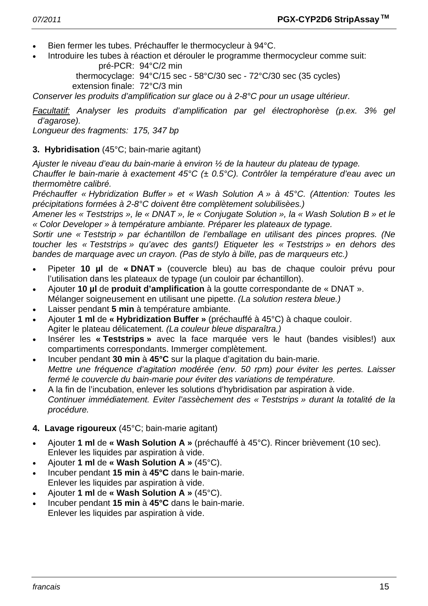- Bien fermer les tubes. Préchauffer le thermocycleur à 94°C.
- Introduire les tubes à réaction et dérouler le programme thermocycleur comme suit: pré-PCR: 94°C/2 min

 thermocyclage: 94°C/15 sec - 58°C/30 sec - 72°C/30 sec (35 cycles) extension finale: 72°C/3 min

*Conserver les produits d'amplification sur glace ou à 2-8°C pour un usage ultérieur.* 

*Facultatif: Analyser les produits d'amplification par gel électrophorèse (p.ex. 3% gel d'agarose).* 

*Longueur des fragments: 175, 347 bp* 

### **3. Hybridisation** (45°C; bain-marie agitant)

*Ajuster le niveau d'eau du bain-marie à environ ½ de la hauteur du plateau de typage.* 

*Chauffer le bain-marie à exactement 45°C (± 0.5°C). Contrôler la température d'eau avec un thermomètre calibré.* 

*Préchauffer « Hybridization Buffer » et « Wash Solution A » à 45°C. (Attention: Toutes les précipitations formées à 2-8°C doivent être complètement solubilisèes.)* 

*Amener les « Teststrips », le « DNAT », le « Conjugate Solution », la « Wash Solution B » et le « Color Developer » à température ambiante. Préparer les plateaux de typage.* 

*Sortir une « Teststrip » par échantillon de l'emballage en utilisant des pinces propres. (Ne toucher les « Teststrips » qu'avec des gants!) Etiqueter les « Teststrips » en dehors des bandes de marquage avec un crayon. (Pas de stylo à bille, pas de marqueurs etc.)* 

- Pipeter **10 µl** de **« DNAT »** (couvercle bleu) au bas de chaque couloir prévu pour l'utilisation dans les plateaux de typage (un couloir par échantillon).
- Ajouter **10 µl** de **produit d'amplification** à la goutte correspondante de « DNAT ». Mélanger soigneusement en utilisant une pipette. *(La solution restera bleue.)*
- Laisser pendant **5 min** à température ambiante.
- Ajouter **1 ml** de **« Hybridization Buffer »** (préchauffé à 45°C) à chaque couloir. Agiter le plateau délicatement. *(La couleur bleue disparaîtra.)*
- Insérer les **« Teststrips »** avec la face marquée vers le haut (bandes visibles!) aux compartiments correspondants. Immerger complètement.
- Incuber pendant **30 min** à **45°C** sur la plaque d'agitation du bain-marie. *Mettre une fréquence d'agitation modérée (env. 50 rpm) pour éviter les pertes. Laisser fermé le couvercle du bain-marie pour éviter des variations de température.*
- A la fin de l'incubation, enlever les solutions d'hybridisation par aspiration à vide.  *Continuer immédiatement. Eviter l'assèchement des « Teststrips » durant la totalité de la procédure.*

# **4. Lavage rigoureux** (45°C; bain-marie agitant)

- Ajouter **1 ml** de **« Wash Solution A »** (préchauffé à 45°C). Rincer brièvement (10 sec). Enlever les liquides par aspiration à vide.
- Ajouter **1 ml** de **« Wash Solution A »** (45°C).
- Incuber pendant **15 min** à **45°C** dans le bain-marie. Enlever les liquides par aspiration à vide.
- Ajouter **1 ml** de **« Wash Solution A »** (45°C).
- Incuber pendant **15 min** à **45°C** dans le bain-marie. Enlever les liquides par aspiration à vide.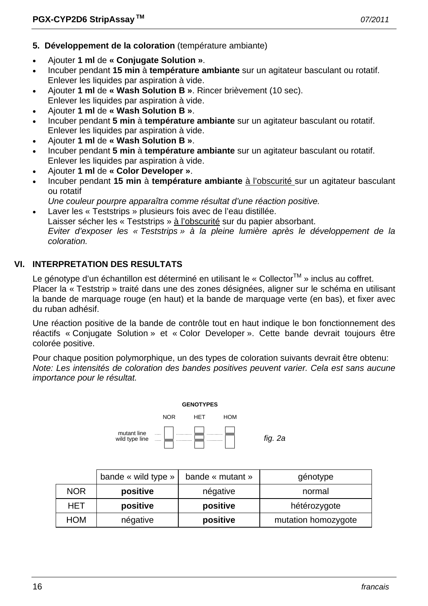- **5. Développement de la coloration** (température ambiante)
- Ajouter **1 ml** de **« Conjugate Solution »**.
- Incuber pendant **15 min** à **température ambiante** sur un agitateur basculant ou rotatif. Enlever les liquides par aspiration à vide.
- Ajouter **1 ml** de **« Wash Solution B »**. Rincer brièvement (10 sec). Enlever les liquides par aspiration à vide.
- Ajouter **1 ml** de **« Wash Solution B »**.
- Incuber pendant **5 min** à **température ambiante** sur un agitateur basculant ou rotatif. Enlever les liquides par aspiration à vide.
- Ajouter **1 ml** de **« Wash Solution B »**.
- Incuber pendant **5 min** à **température ambiante** sur un agitateur basculant ou rotatif. Enlever les liquides par aspiration à vide.
- Ajouter **1 ml** de **« Color Developer »**.
- Incuber pendant **15 min** à **température ambiante** à l'obscurité sur un agitateur basculant ou rotatif
- *Une couleur pourpre apparaîtra comme résultat d'une réaction positive.*
- Laver les « Teststrips » plusieurs fois avec de l'eau distillée. Laisser sécher les « Teststrips » à l'obscurité sur du papier absorbant.  *Eviter d'exposer les « Teststrips » à la pleine lumière après le développement de la coloration.*

# **VI. INTERPRETATION DES RESULTATS**

Le génotype d'un échantillon est déterminé en utilisant le « Collector™ » inclus au coffret. Placer la « Teststrip » traité dans une des zones désignées, aligner sur le schéma en utilisant la bande de marquage rouge (en haut) et la bande de marquage verte (en bas), et fixer avec du ruban adhésif.

Une réaction positive de la bande de contrôle tout en haut indique le bon fonctionnement des réactifs « Conjugate Solution » et « Color Developer ». Cette bande devrait toujours être colorée positive.

Pour chaque position polymorphique, un des types de coloration suivants devrait être obtenu: *Note: Les intensités de coloration des bandes positives peuvent varier. Cela est sans aucune importance pour le résultat.* 



|            | bande « wild type » | bande « mutant » | génotype            |
|------------|---------------------|------------------|---------------------|
| <b>NOR</b> | positive            | négative         | normal              |
| HET        | positive            | positive         | hétérozygote        |
| HOM        | négative            | positive         | mutation homozygote |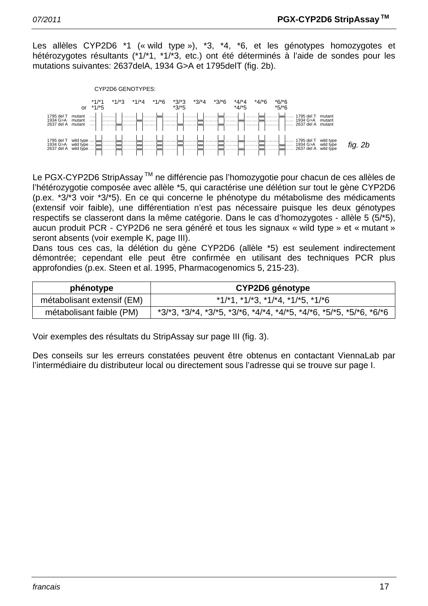Les allèles CYP2D6 \*1 (« wild type »), \*3, \*4, \*6, et les génotypes homozygotes et hétérozygotes résultants (\*1/\*1, \*1/\*3, etc.) ont été déterminés à l'aide de sondes pour les mutations suivantes: 2637delA, 1934 G>A et 1795delT (fig. 2b).



Le PGX-CYP2D6 StripAssay ™ ne différencie pas l'homozygotie pour chacun de ces allèles de l'hétérozygotie composée avec allèle \*5, qui caractérise une délétion sur tout le gène CYP2D6 (p.ex. \*3/\*3 voir \*3/\*5). En ce qui concerne le phénotype du métabolisme des médicaments (extensif voir faible), une différentiation n'est pas nécessaire puisque les deux génotypes respectifs se classeront dans la même catégorie. Dans le cas d'homozygotes - allèle 5 (5/\*5), aucun produit PCR - CYP2D6 ne sera généré et tous les signaux « wild type » et « mutant » seront absents (voir exemple K, page III).

Dans tous ces cas, la délétion du gène CYP2D6 (allèle \*5) est seulement indirectement démontrée; cependant elle peut être confirmée en utilisant des techniques PCR plus approfondies (p.ex. Steen et al. 1995, Pharmacogenomics 5, 215-23).

| phénotype                  | CYP2D6 génotype                                                                         |  |
|----------------------------|-----------------------------------------------------------------------------------------|--|
| métabolisant extensif (EM) | $*1/*1, *1/*3, *1/*4, *1/*5, *1/*6$                                                     |  |
| métabolisant faible (PM)   | $*3/3$ , $*3/4$ , $*3/5$ , $*3/6$ , $*4/4$ , $*4/5$ , $*4/6$ , $*5/5$ , $*5/6$ , $*6/6$ |  |

Voir exemples des résultats du StripAssay sur page III (fig. 3).

Des conseils sur les erreurs constatées peuvent être obtenus en contactant ViennaLab par l'intermédiaire du distributeur local ou directement sous l'adresse qui se trouve sur page I.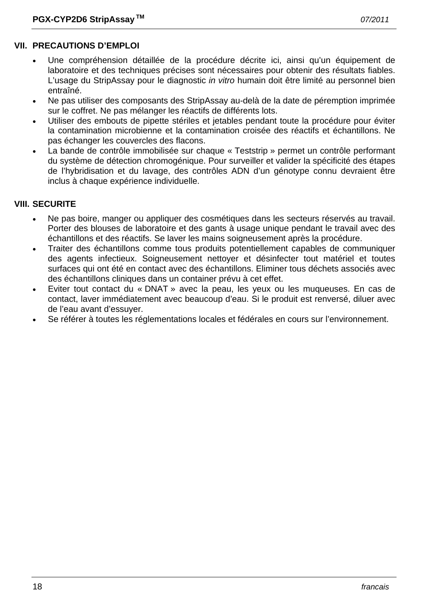#### **VII. PRECAUTIONS D'EMPLOI**

- Une compréhension détaillée de la procédure décrite ici, ainsi qu'un équipement de laboratoire et des techniques précises sont nécessaires pour obtenir des résultats fiables. L'usage du StripAssay pour le diagnostic *in vitro* humain doit être limité au personnel bien entraîné.
- Ne pas utiliser des composants des StripAssay au-delà de la date de péremption imprimée sur le coffret. Ne pas mélanger les réactifs de différents lots.
- Utiliser des embouts de pipette stériles et jetables pendant toute la procédure pour éviter la contamination microbienne et la contamination croisée des réactifs et échantillons. Ne pas échanger les couvercles des flacons.
- La bande de contrôle immobilisée sur chaque « Teststrip » permet un contrôle performant du système de détection chromogénique. Pour surveiller et valider la spécificité des étapes de l'hybridisation et du lavage, des contrôles ADN d'un génotype connu devraient être inclus à chaque expérience individuelle.

#### **VIII. SECURITE**

- Ne pas boire, manger ou appliquer des cosmétiques dans les secteurs réservés au travail. Porter des blouses de laboratoire et des gants à usage unique pendant le travail avec des échantillons et des réactifs. Se laver les mains soigneusement après la procédure.
- Traiter des échantillons comme tous produits potentiellement capables de communiquer des agents infectieux. Soigneusement nettoyer et désinfecter tout matériel et toutes surfaces qui ont été en contact avec des échantillons. Eliminer tous déchets associés avec des échantillons cliniques dans un container prévu à cet effet.
- Eviter tout contact du « DNAT » avec la peau, les yeux ou les muqueuses. En cas de contact, laver immédiatement avec beaucoup d'eau. Si le produit est renversé, diluer avec de l'eau avant d'essuyer.
- Se référer à toutes les réglementations locales et fédérales en cours sur l'environnement.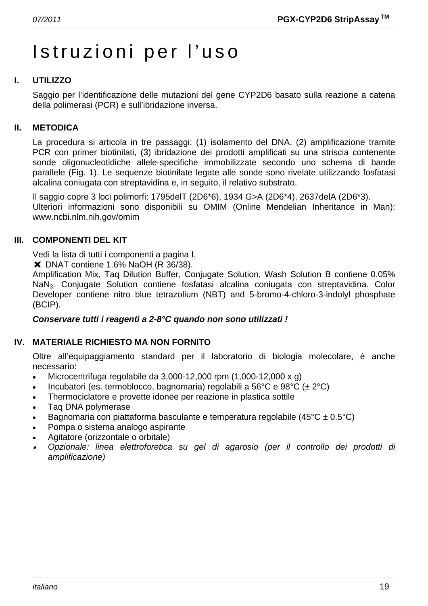# Istruzioni per l'uso

# **I. UTILIZZO**

Saggio per l'identificazione delle mutazioni del gene CYP2D6 basato sulla reazione a catena della polimerasi (PCR) e sull'ibridazione inversa.

### **II. METODICA**

La procedura si articola in tre passaggi: (1) isolamento del DNA, (2) amplificazione tramite PCR con primer biotinilati, (3) ibridazione dei prodotti amplificati su una striscia contenente sonde oligonucleotidiche allele-specifiche immobilizzate secondo uno schema di bande parallele (Fig. 1). Le sequenze biotinilate legate alle sonde sono rivelate utilizzando fosfatasi alcalina coniugata con streptavidina e, in seguito, il relativo substrato.

Il saggio copre 3 loci polimorfi: 1795delT (2D6\*6), 1934 G>A (2D6\*4), 2637delA (2D6\*3). Ulteriori informazioni sono disponibili su OMIM (Online Mendelian Inheritance in Man): www.ncbi.nlm.nih.gov/omim

### **III. COMPONENTI DEL KIT**

Vedi la lista di tutti i componenti a pagina I.

**X** DNAT contiene 1.6% NaOH (R 36/38).

Amplification Mix, Taq Dilution Buffer, Conjugate Solution, Wash Solution B contiene 0.05% NaN3. Conjugate Solution contiene fosfatasi alcalina coniugata con streptavidina. Color Developer contiene nitro blue tetrazolium (NBT) and 5-bromo-4-chloro-3-indolyl phosphate (BCIP).

#### *Conservare tutti i reagenti a 2-8°C quando non sono utilizzati !*

#### **IV. MATERIALE RICHIESTO MA NON FORNITO**

Oltre all'equipaggiamento standard per il laboratorio di biologia molecolare, è anche necessario:

- Microcentrifuga regolabile da  $3.000-12.000$  rpm  $(1.000-12.000 \times g)$
- Incubatori (es. termoblocco, bagnomaria) regolabili a 56°C e 98°C ( $\pm$  2°C)
- Thermociclatore e provette idonee per reazione in plastica sottile
- Taq DNA polymerase
- Bagnomaria con piattaforma basculante e temperatura regolabile (45 $^{\circ}$ C ± 0.5 $^{\circ}$ C)
- Pompa o sistema analogo aspirante
- Agitatore (orizzontale o orbitale)
- • *Opzionale: linea elettroforetica su gel di agarosio (per il controllo dei prodotti di amplificazione)*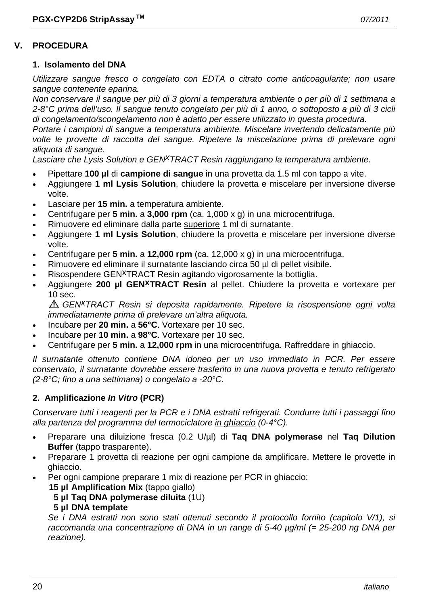#### **V. PROCEDURA**

#### **1. Isolamento del DNA**

*Utilizzare sangue fresco o congelato con EDTA o citrato come anticoagulante; non usare sangue contenente eparina.* 

*Non conservare il sangue per più di 3 giorni a temperatura ambiente o per più di 1 settimana a 2-8°C prima dell'uso. Il sangue tenuto congelato per più di 1 anno, o sottoposto a più di 3 cicli di congelamento/scongelamento non è adatto per essere utilizzato in questa procedura.* 

*Portare i campioni di sangue a temperatura ambiente. Miscelare invertendo delicatamente più volte le provette di raccolta del sangue. Ripetere la miscelazione prima di prelevare ogni aliquota di sangue.* 

Lasciare che Lysis Solution e GEN<sup>X</sup>TRACT Resin raggiungano la temperatura ambiente.

- Pipettare **100 µl** di **campione di sangue** in una provetta da 1.5 ml con tappo a vite.
- Aggiungere **1 ml Lysis Solution**, chiudere la provetta e miscelare per inversione diverse volte.
- Lasciare per **15 min.** a temperatura ambiente.
- Centrifugare per **5 min.** a **3,000 rpm** (ca. 1,000 x g) in una microcentrifuga.
- Rimuovere ed eliminare dalla parte superiore 1 ml di surnatante.
- Aggiungere **1 ml Lysis Solution**, chiudere la provetta e miscelare per inversione diverse volte.
- Centrifugare per **5 min.** a **12,000 rpm** (ca. 12,000 x g) in una microcentrifuga.
- Rimuovere ed eliminare il surnatante lasciando circa 50 µl di pellet visibile.
- Risospendere GEN<sup>X</sup>TRACT Resin agitando vigorosamente la bottiglia.
- Aggiungere **200 µl GENxTRACT Resin** al pellet. Chiudere la provetta e vortexare per 10 sec.

*GENxTRACT Resin si deposita rapidamente. Ripetere la risospensione ogni volta immediatamente prima di prelevare un'altra aliquota.* 

- Incubare per **20 min.** a **56°C**. Vortexare per 10 sec.
- Incubare per **10 min.** a **98°C**. Vortexare per 10 sec.
- Centrifugare per **5 min.** a **12,000 rpm** in una microcentrifuga. Raffreddare in ghiaccio.

*Il surnatante ottenuto contiene DNA idoneo per un uso immediato in PCR. Per essere conservato, il surnatante dovrebbe essere trasferito in una nuova provetta e tenuto refrigerato (2-8°C; fino a una settimana) o congelato a -20°C.* 

#### **2. Amplificazione** *In Vitro* **(PCR)**

*Conservare tutti i reagenti per la PCR e i DNA estratti refrigerati. Condurre tutti i passaggi fino alla partenza del programma del termociclatore in ghiaccio (0-4°C).* 

- Preparare una diluizione fresca (0.2 U/µl) di **Taq DNA polymerase** nel **Taq Dilution Buffer** (tappo trasparente).
- Preparare 1 provetta di reazione per ogni campione da amplificare. Mettere le provette in ghiaccio.
	- Per ogni campione preparare 1 mix di reazione per PCR in ghiaccio:
		- **15 µl Amplification Mix** (tappo giallo)
			- **5 µl Taq DNA polymerase diluita** (1U)

#### **5 µl DNA template**

 *Se i DNA estratti non sono stati ottenuti secondo il protocollo fornito (capitolo V/1), si raccomanda una concentrazione di DNA in un range di 5-40 µg/ml (= 25-200 ng DNA per reazione).*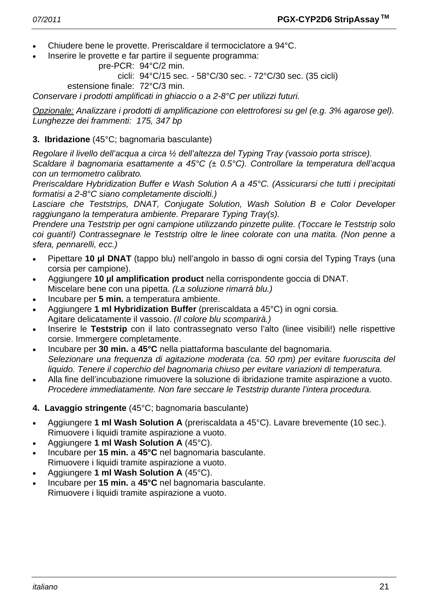- Chiudere bene le provette. Preriscaldare il termociclatore a 94°C.
- Inserire le provette e far partire il seguente programma:

```
 pre-PCR: 94°C/2 min.
```
cicli: 94°C/15 sec. - 58°C/30 sec. - 72°C/30 sec. (35 cicli)

estensione finale: 72°C/3 min.

*Conservare i prodotti amplificati in ghiaccio o a 2-8°C per utilizzi futuri.* 

*Opzionale: Analizzare i prodotti di amplificazione con elettroforesi su gel (e.g. 3% agarose gel). Lunghezze dei frammenti: 175, 347 bp* 

### **3. Ibridazione** (45°C; bagnomaria basculante)

*Regolare il livello dell'acqua a circa ½ dell'altezza del Typing Tray (vassoio porta strisce).* 

*Scaldare il bagnomaria esattamente a 45°C (± 0.5°C). Controllare la temperatura dell'acqua con un termometro calibrato.* 

*Preriscaldare Hybridization Buffer e Wash Solution A a 45°C. (Assicurarsi che tutti i precipitati formatisi a 2-8°C siano completamente disciolti.)* 

*Lasciare che Teststrips, DNAT, Conjugate Solution, Wash Solution B e Color Developer raggiungano la temperatura ambiente. Preparare Typing Tray(s).* 

*Prendere una Teststrip per ogni campione utilizzando pinzette pulite. (Toccare le Teststrip solo coi guanti!) Contrassegnare le Teststrip oltre le linee colorate con una matita. (Non penne a sfera, pennarelli, ecc.)* 

- Pipettare **10 µl DNAT** (tappo blu) nell'angolo in basso di ogni corsia del Typing Trays (una corsia per campione).
- Aggiungere **10 µl amplification product** nella corrispondente goccia di DNAT. Miscelare bene con una pipetta. *(La soluzione rimarrà blu.)*
- Incubare per **5 min.** a temperatura ambiente.
- Aggiungere **1 ml Hybridization Buffer** (preriscaldata a 45°C) in ogni corsia. Agitare delicatamente il vassoio. *(Il colore blu scomparirà.)*
- Inserire le **Teststrip** con il lato contrassegnato verso l'alto (linee visibili!) nelle rispettive corsie. Immergere completamente.
- Incubare per **30 min.** a **45°C** nella piattaforma basculante del bagnomaria.  *Selezionare una frequenza di agitazione moderata (ca. 50 rpm) per evitare fuoruscita del liquido. Tenere il coperchio del bagnomaria chiuso per evitare variazioni di temperatura.*
- Alla fine dell'incubazione rimuovere la soluzione di ibridazione tramite aspirazione a vuoto.  *Procedere immediatamente. Non fare seccare le Teststrip durante l'intera procedura.*
- **4. Lavaggio stringente** (45°C; bagnomaria basculante)
- Aggiungere **1 ml Wash Solution A** (preriscaldata a 45°C). Lavare brevemente (10 sec.). Rimuovere i liquidi tramite aspirazione a vuoto.
- Aggiungere **1 ml Wash Solution A** (45°C).
- Incubare per **15 min.** a **45°C** nel bagnomaria basculante. Rimuovere i liquidi tramite aspirazione a vuoto.
- Aggiungere **1 ml Wash Solution A** (45°C).
- Incubare per **15 min.** a **45°C** nel bagnomaria basculante. Rimuovere i liquidi tramite aspirazione a vuoto.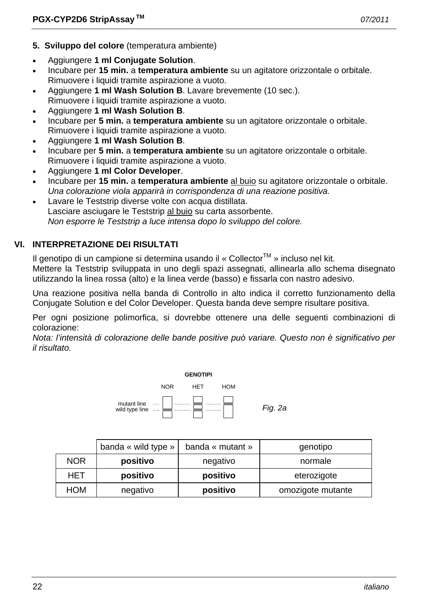- **5. Sviluppo del colore** (temperatura ambiente)
- Aggiungere **1 ml Conjugate Solution**.
- Incubare per **15 min.** a **temperatura ambiente** su un agitatore orizzontale o orbitale. Rimuovere i liquidi tramite aspirazione a vuoto.
- Aggiungere **1 ml Wash Solution B**. Lavare brevemente (10 sec.). Rimuovere i liquidi tramite aspirazione a vuoto.
- Aggiungere **1 ml Wash Solution B**.
- Incubare per **5 min.** a **temperatura ambiente** su un agitatore orizzontale o orbitale. Rimuovere i liquidi tramite aspirazione a vuoto.
- Aggiungere **1 ml Wash Solution B**.
- Incubare per **5 min.** a **temperatura ambiente** su un agitatore orizzontale o orbitale. Rimuovere i liquidi tramite aspirazione a vuoto.
- Aggiungere **1 ml Color Developer**.
- Incubare per **15 min.** a **temperatura ambiente** al buio su agitatore orizzontale o orbitale.  *Una colorazione viola apparirà in corrispondenza di una reazione positiva.*
- Lavare le Teststrip diverse volte con acqua distillata. Lasciare asciugare le Teststrip al buio su carta assorbente.  *Non esporre le Teststrip a luce intensa dopo lo sviluppo del colore.*

# **VI. INTERPRETAZIONE DEI RISULTATI**

Il genotipo di un campione si determina usando il « Collector<sup>TM</sup> » incluso nel kit.

Mettere la Teststrip sviluppata in uno degli spazi assegnati, allinearla allo schema disegnato utilizzando la linea rossa (alto) e la linea verde (basso) e fissarla con nastro adesivo.

Una reazione positiva nella banda di Controllo in alto indica il corretto funzionamento della Conjugate Solution e del Color Developer. Questa banda deve sempre risultare positiva.

Per ogni posizione polimorfica, si dovrebbe ottenere una delle seguenti combinazioni di colorazione:

*Nota: l'intensità di colorazione delle bande positive può variare. Questo non è significativo per il risultato.* 



|            | banda « wild type » | banda « mutant » | genotipo          |
|------------|---------------------|------------------|-------------------|
| <b>NOR</b> | positivo            | negativo         | normale           |
| <b>HET</b> | positivo            | positivo         | eterozigote       |
| <b>HOM</b> | negativo            | positivo         | omozigote mutante |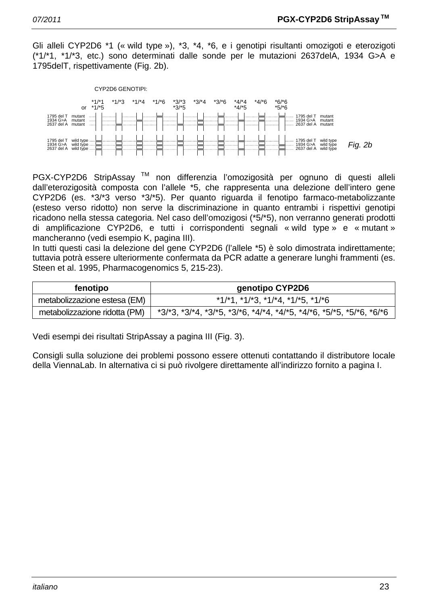Gli alleli CYP2D6 \*1 (« wild type »), \*3, \*4, \*6, e i genotipi risultanti omozigoti e eterozigoti (\*1/\*1, \*1/\*3, etc.) sono determinati dalle sonde per le mutazioni 2637delA, 1934 G>A e 1795delT, rispettivamente (Fig. 2b).



PGX-CYP2D6 StripAssay<sup>™</sup> non differenzia l'omozigosità per ognuno di questi alleli dall'eterozigosità composta con l'allele \*5, che rappresenta una delezione dell'intero gene CYP2D6 (es. \*3/\*3 verso \*3/\*5). Per quanto riguarda il fenotipo farmaco-metabolizzante (esteso verso ridotto) non serve la discriminazione in quanto entrambi i rispettivi genotipi ricadono nella stessa categoria. Nel caso dell'omozigosi (\*5/\*5), non verranno generati prodotti di amplificazione CYP2D6, e tutti i corrispondenti segnali « wild type » e « mutant » mancheranno (vedi esempio K, pagina III).

In tutti questi casi la delezione del gene CYP2D6 (l'allele \*5) è solo dimostrata indirettamente; tuttavia potrà essere ulteriormente confermata da PCR adatte a generare lunghi frammenti (es. Steen et al. 1995, Pharmacogenomics 5, 215-23).

| fenotipo                      | genotipo CYP2D6                                                                         |  |
|-------------------------------|-----------------------------------------------------------------------------------------|--|
| metabolizzazione estesa (EM)  | $*1/*1$ , $*1/*3$ , $*1/*4$ , $*1/*5$ , $*1/*6$                                         |  |
| metabolizzazione ridotta (PM) | $*3/3$ , $*3/4$ , $*3/5$ , $*3/5$ , $*4/4$ , $*4/5$ , $*4/5$ , $*5/5$ , $*5/6$ , $*6/6$ |  |

Vedi esempi dei risultati StripAssay a pagina III (Fig. 3).

Consigli sulla soluzione dei problemi possono essere ottenuti contattando il distributore locale della ViennaLab. In alternativa ci si può rivolgere direttamente all'indirizzo fornito a pagina I.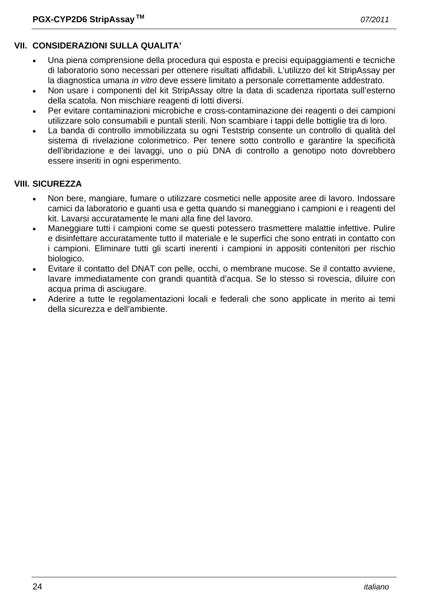# **VII. CONSIDERAZIONI SULLA QUALITA'**

- Una piena comprensione della procedura qui esposta e precisi equipaggiamenti e tecniche di laboratorio sono necessari per ottenere risultati affidabili. L'utilizzo del kit StripAssay per la diagnostica umana *in vitro* deve essere limitato a personale correttamente addestrato.
- Non usare i componenti del kit StripAssay oltre la data di scadenza riportata sull'esterno della scatola. Non mischiare reagenti di lotti diversi.
- Per evitare contaminazioni microbiche e cross-contaminazione dei reagenti o dei campioni utilizzare solo consumabili e puntali sterili. Non scambiare i tappi delle bottiglie tra di loro.
- La banda di controllo immobilizzata su ogni Teststrip consente un controllo di qualità del sistema di rivelazione colorimetrico. Per tenere sotto controllo e garantire la specificità dell'ibridazione e dei lavaggi, uno o più DNA di controllo a genotipo noto dovrebbero essere inseriti in ogni esperimento.

# **VIII. SICUREZZA**

- Non bere, mangiare, fumare o utilizzare cosmetici nelle apposite aree di lavoro. Indossare camici da laboratorio e guanti usa e getta quando si maneggiano i campioni e i reagenti del kit. Lavarsi accuratamente le mani alla fine del lavoro.
- Maneggiare tutti i campioni come se questi potessero trasmettere malattie infettive. Pulire e disinfettare accuratamente tutto il materiale e le superfici che sono entrati in contatto con i campioni. Eliminare tutti gli scarti inerenti i campioni in appositi contenitori per rischio biologico.
- Evitare il contatto del DNAT con pelle, occhi, o membrane mucose. Se il contatto avviene, lavare immediatamente con grandi quantità d'acqua. Se lo stesso si rovescia, diluire con acqua prima di asciugare.
- Aderire a tutte le regolamentazioni locali e federali che sono applicate in merito ai temi della sicurezza e dell'ambiente.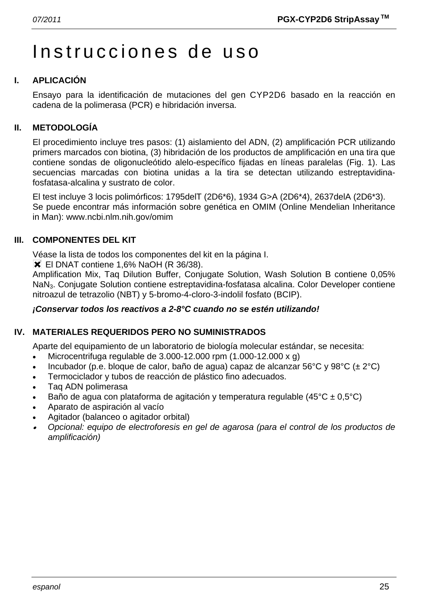# Instrucciones de uso

# **I. APLICACIÓN**

Ensayo para la identificación de mutaciones del gen CYP2D6 basado en la reacción en cadena de la polimerasa (PCR) e hibridación inversa.

# **II. METODOLOGÍA**

El procedimiento incluye tres pasos: (1) aislamiento del ADN, (2) amplificación PCR utilizando primers marcados con biotina, (3) hibridación de los productos de amplificación en una tira que contiene sondas de oligonucleótido alelo-específico fijadas en líneas paralelas (Fig. 1). Las secuencias marcadas con biotina unidas a la tira se detectan utilizando estreptavidinafosfatasa-alcalina y sustrato de color.

El test incluye 3 locis polimórficos: 1795delT (2D6\*6), 1934 G>A (2D6\*4), 2637delA (2D6\*3). Se puede encontrar más información sobre genética en OMIM (Online Mendelian Inheritance in Man): www.ncbi.nlm.nih.gov/omim

# **III. COMPONENTES DEL KIT**

Véase la lista de todos los componentes del kit en la página I.

**X** El DNAT contiene 1,6% NaOH (R 36/38).

Amplification Mix, Taq Dilution Buffer, Conjugate Solution, Wash Solution B contiene 0,05% NaN3. Conjugate Solution contiene estreptavidina-fosfatasa alcalina. Color Developer contiene nitroazul de tetrazolio (NBT) y 5-bromo-4-cloro-3-indolil fosfato (BCIP).

# *¡Conservar todos los reactivos a 2-8°C cuando no se estén utilizando!*

# **IV. MATERIALES REQUERIDOS PERO NO SUMINISTRADOS**

Aparte del equipamiento de un laboratorio de biología molecular estándar, se necesita:

- Microcentrifuga regulable de 3.000-12.000 rpm (1.000-12.000 x g)
- Incubador (p.e. bloque de calor, baño de agua) capaz de alcanzar 56°C y 98°C (± 2°C)
- Termociclador y tubos de reacción de plástico fino adecuados.
- Taq ADN polimerasa
- Baño de agua con plataforma de agitación y temperatura regulable (45 $^{\circ}$ C ± 0,5 $^{\circ}$ C)
- Aparato de aspiración al vacío
- Agitador (balanceo o agitador orbital)
- • *Opcional: equipo de electroforesis en gel de agarosa (para el control de los productos de amplificación)*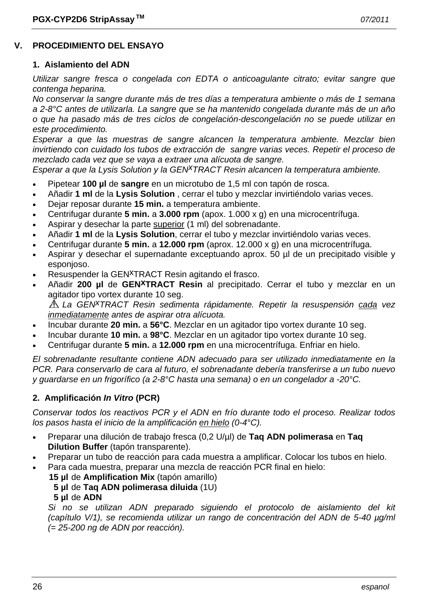### **V. PROCEDIMIENTO DEL ENSAYO**

#### **1. Aislamiento del ADN**

*Utilizar sangre fresca o congelada con EDTA o anticoagulante citrato; evitar sangre que contenga heparina.* 

*No conservar la sangre durante más de tres días a temperatura ambiente o más de 1 semana a 2-8°C antes de utilizarla. La sangre que se ha mantenido congelada durante más de un año o que ha pasado más de tres ciclos de congelación-descongelación no se puede utilizar en este procedimiento.* 

*Esperar a que las muestras de sangre alcancen la temperatura ambiente. Mezclar bien invirtiendo con cuidado los tubos de extracción de sangre varias veces. Repetir el proceso de mezclado cada vez que se vaya a extraer una alícuota de sangre.* 

*Esperar a que la Lysis Solution y la GENxTRACT Resin alcancen la temperatura ambiente.*

- Pipetear **100 µl** de **sangre** en un microtubo de 1,5 ml con tapón de rosca.
- Añadir **1 ml** de la **Lysis Solution** , cerrar el tubo y mezclar invirtiéndolo varias veces.
- Dejar reposar durante **15 min.** a temperatura ambiente.
- Centrifugar durante **5 min.** a **3.000 rpm** (apox. 1.000 x g) en una microcentrífuga.
- Aspirar y desechar la parte superior (1 ml) del sobrenadante.
- Añadir **1 ml** de la **Lysis Solution**, cerrar el tubo y mezclar invirtiéndolo varias veces.
- Centrifugar durante **5 min.** a **12.000 rpm** (aprox. 12.000 x g) en una microcentrífuga.
- Aspirar y desechar el supernadante exceptuando aprox. 50 µl de un precipitado visible y esponjoso.
- Resuspender la GEN<sup>X</sup>TRACT Resin agitando el frasco.
- Añadir **200 µl** de **GENxTRACT Resin** al precipitado. Cerrar el tubo y mezclar en un agitador tipo vortex durante 10 seg.

*La GENxTRACT Resin sedimenta rápidamente. Repetir la resuspensión cada vez inmediatamente antes de aspirar otra alícuota.* 

- Incubar durante **20 min.** a **56°C**. Mezclar en un agitador tipo vortex durante 10 seg.
- Incubar durante **10 min.** a **98°C**. Mezclar en un agitador tipo vortex durante 10 seg.
- Centrifugar durante **5 min.** a **12.000 rpm** en una microcentrífuga. Enfriar en hielo.

*El sobrenadante resultante contiene ADN adecuado para ser utilizado inmediatamente en la PCR. Para conservarlo de cara al futuro, el sobrenadante debería transferirse a un tubo nuevo y guardarse en un frigorífico (a 2-8°C hasta una semana) o en un congelador a -20°C.* 

#### **2. Amplificación** *In Vitro* **(PCR)**

*Conservar todos los reactivos PCR y el ADN en frío durante todo el proceso. Realizar todos los pasos hasta el inicio de la amplificación en hielo (0-4°C).* 

- Preparar una dilución de trabajo fresca (0,2 U/µl) de **Taq ADN polimerasa** en **Taq Dilution Buffer** (tapón transparente).
- Preparar un tubo de reacción para cada muestra a amplificar. Colocar los tubos en hielo.
- Para cada muestra, preparar una mezcla de reacción PCR final en hielo:
	- **15 µl** de **Amplification Mix** (tapón amarillo)
		- **5 µl** de **Taq ADN polimerasa diluida** (1U)
		- **5 µl** de **ADN**

 *Si no se utilizan ADN preparado siguiendo el protocolo de aislamiento del kit (capítulo V/1), se recomienda utilizar un rango de concentración del ADN de 5-40 µg/ml (= 25-200 ng de ADN por reacción).*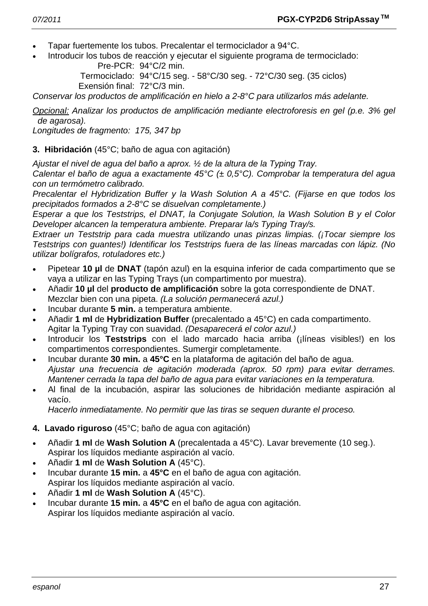- Tapar fuertemente los tubos. Precalentar el termociclador a 94°C.
- Introducir los tubos de reacción y ejecutar el siguiente programa de termociclado: Pre-PCR: 94°C/2 min.

 Termociclado: 94°C/15 seg. - 58°C/30 seg. - 72°C/30 seg. (35 ciclos) Exensión final: 72°C/3 min.

*Conservar los productos de amplificación en hielo a 2-8°C para utilizarlos más adelante.* 

*Opcional: Analizar los productos de amplificación mediante electroforesis en gel (p.e. 3% gel de agarosa).* 

*Longitudes de fragmento: 175, 347 bp* 

#### **3. Hibridación** (45°C; baño de agua con agitación)

*Ajustar el nivel de agua del baño a aprox. ½ de la altura de la Typing Tray.* 

*Calentar el baño de agua a exactamente 45°C (± 0,5°C). Comprobar la temperatura del agua con un termómetro calibrado.* 

*Precalentar el Hybridization Buffer y la Wash Solution A a 45°C. (Fijarse en que todos los precipitados formados a 2-8°C se disuelvan completamente.)* 

*Esperar a que los Teststrips, el DNAT, la Conjugate Solution, la Wash Solution B y el Color Developer alcancen la temperatura ambiente. Preparar la/s Typing Tray/s.* 

*Extraer un Teststrip para cada muestra utilizando unas pinzas limpias. (¡Tocar siempre los Teststrips con guantes!) Identificar los Teststrips fuera de las líneas marcadas con lápiz. (No utilizar bolígrafos, rotuladores etc.)* 

- Pipetear **10 µl** de **DNAT** (tapón azul) en la esquina inferior de cada compartimento que se vaya a utilizar en las Typing Trays (un compartimento por muestra).
- Añadir **10 µl** del **producto de amplificación** sobre la gota correspondiente de DNAT. Mezclar bien con una pipeta. *(La solución permanecerá azul.)*
- Incubar durante **5 min.** a temperatura ambiente.
- Añadir **1 ml** de **Hybridization Buffer** (precalentado a 45°C) en cada compartimento. Agitar la Typing Tray con suavidad. *(Desaparecerá el color azul.)*
- Introducir los **Teststrips** con el lado marcado hacia arriba (¡líneas visibles!) en los compartimentos correspondientes. Sumergir completamente.
- Incubar durante **30 min.** a **45°C** en la plataforma de agitación del baño de agua.  *Ajustar una frecuencia de agitación moderada (aprox. 50 rpm) para evitar derrames. Mantener cerrada la tapa del baño de agua para evitar variaciones en la temperatura.*
- Al final de la incubación, aspirar las soluciones de hibridación mediante aspiración al vacío.

 *Hacerlo inmediatamente. No permitir que las tiras se sequen durante el proceso.* 

- **4. Lavado riguroso** (45°C; baño de agua con agitación)
- Añadir **1 ml** de **Wash Solution A** (precalentada a 45°C). Lavar brevemente (10 seg.). Aspirar los líquidos mediante aspiración al vacío.
- Añadir **1 ml** de **Wash Solution A** (45°C).
- Incubar durante **15 min.** a **45°C** en el baño de agua con agitación. Aspirar los líquidos mediante aspiración al vacío.
- Añadir **1 ml** de **Wash Solution A** (45°C).
- Incubar durante **15 min.** a **45°C** en el baño de agua con agitación. Aspirar los líquidos mediante aspiración al vacío.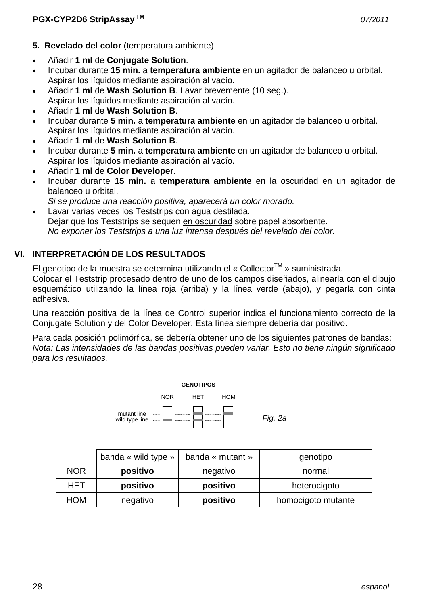- **5. Revelado del color** (temperatura ambiente)
- Añadir **1 ml** de **Conjugate Solution**.
- Incubar durante **15 min.** a **temperatura ambiente** en un agitador de balanceo u orbital. Aspirar los líquidos mediante aspiración al vacío.
- Añadir **1 ml** de **Wash Solution B**. Lavar brevemente (10 seg.). Aspirar los líquidos mediante aspiración al vacío.
- Añadir **1 ml** de **Wash Solution B**.
- Incubar durante **5 min.** a **temperatura ambiente** en un agitador de balanceo u orbital. Aspirar los líquidos mediante aspiración al vacío.
- Añadir **1 ml** de **Wash Solution B**.
- Incubar durante **5 min.** a **temperatura ambiente** en un agitador de balanceo u orbital. Aspirar los líquidos mediante aspiración al vacío.
- Añadir **1 ml** de **Color Developer**.
- Incubar durante **15 min.** a **temperatura ambiente** en la oscuridad en un agitador de balanceo u orbital.
- *Si se produce una reacción positiva, aparecerá un color morado.*
- Lavar varias veces los Teststrips con agua destilada. Dejar que los Teststrips se sequen en oscuridad sobre papel absorbente.  *No exponer los Teststrips a una luz intensa después del revelado del color.*

# **VI. INTERPRETACIÓN DE LOS RESULTADOS**

El genotipo de la muestra se determina utilizando el « Collector<sup>TM</sup> » suministrada.

Colocar el Teststrip procesado dentro de uno de los campos diseñados, alinearla con el dibujo esquemático utilizando la línea roja (arriba) y la línea verde (abajo), y pegarla con cinta adhesiva.

Una reacción positiva de la línea de Control superior indica el funcionamiento correcto de la Conjugate Solution y del Color Developer. Esta línea siempre debería dar positivo.

Para cada posición polimórfica, se debería obtener uno de los siguientes patrones de bandas: *Nota: Las intensidades de las bandas positivas pueden variar. Esto no tiene ningún significado para los resultados.* 



|            | banda « wild type » | banda « mutant » | genotipo           |
|------------|---------------------|------------------|--------------------|
| <b>NOR</b> | positivo            | negativo         | normal             |
| HET        | positivo            | positivo         | heterocigoto       |
| <b>HOM</b> | negativo            | positivo         | homocigoto mutante |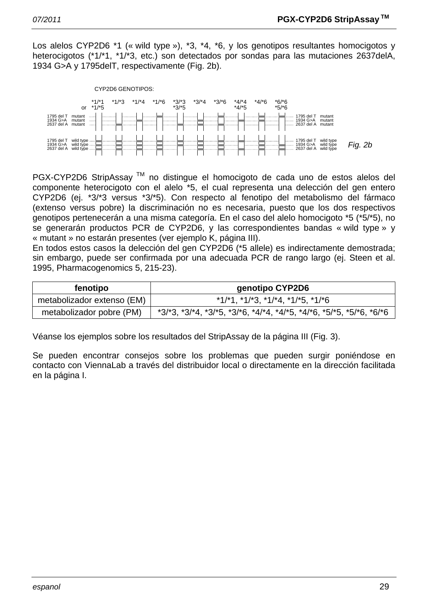Los alelos CYP2D6 \*1 (« wild type »), \*3, \*4, \*6, y los genotipos resultantes homocigotos y heterocigotos (\*1/\*1, \*1/\*3, etc.) son detectados por sondas para las mutaciones 2637delA, 1934 G>A y 1795delT, respectivamente (Fig. 2b).



PGX-CYP2D6 StripAssay<sup>™</sup> no distingue el homocigoto de cada uno de estos alelos del componente heterocigoto con el alelo \*5, el cual representa una delección del gen entero CYP2D6 (ej. \*3/\*3 versus \*3/\*5). Con respecto al fenotipo del metabolismo del fármaco (extenso versus pobre) la discriminación no es necesaria, puesto que los dos respectivos genotipos pertenecerán a una misma categoría. En el caso del alelo homocigoto \*5 (\*5/\*5), no se generarán productos PCR de CYP2D6, y las correspondientes bandas « wild type » y « mutant » no estarán presentes (ver ejemplo K, página III).

En todos estos casos la delección del gen CYP2D6 (\*5 allele) es indirectamente demostrada; sin embargo, puede ser confirmada por una adecuada PCR de rango largo (ej. Steen et al. 1995, Pharmacogenomics 5, 215-23).

| fenotipo                   | genotipo CYP2D6                                                                         |  |
|----------------------------|-----------------------------------------------------------------------------------------|--|
| metabolizador extenso (EM) | $*1/1$ , $*1/13$ , $*1/14$ , $*1/15$ , $*1/16$                                          |  |
| metabolizador pobre (PM)   | $*3/3$ , $*3/4$ , $*3/5$ , $*3/6$ , $*4/4$ , $*4/5$ , $*4/6$ , $*5/5$ , $*5/6$ , $*6/6$ |  |

Véanse los ejemplos sobre los resultados del StripAssay de la página III (Fig. 3).

Se pueden encontrar consejos sobre los problemas que pueden surgir poniéndose en contacto con ViennaLab a través del distribuidor local o directamente en la dirección facilitada en la página I.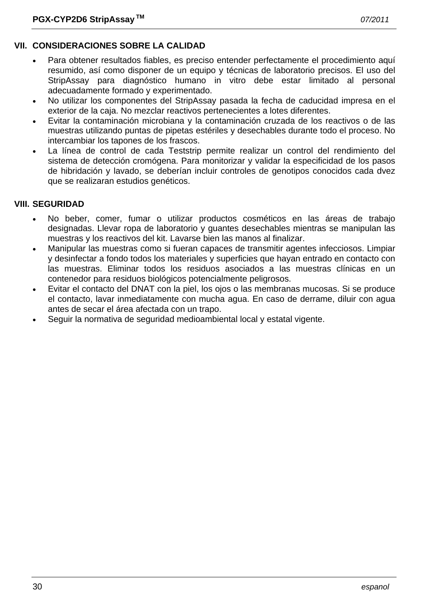# **VII. CONSIDERACIONES SOBRE LA CALIDAD**

- Para obtener resultados fiables, es preciso entender perfectamente el procedimiento aquí resumido, así como disponer de un equipo y técnicas de laboratorio precisos. El uso del StripAssay para diagnóstico humano in vitro debe estar limitado al personal adecuadamente formado y experimentado.
- No utilizar los componentes del StripAssay pasada la fecha de caducidad impresa en el exterior de la caja. No mezclar reactivos pertenecientes a lotes diferentes.
- Evitar la contaminación microbiana y la contaminación cruzada de los reactivos o de las muestras utilizando puntas de pipetas estériles y desechables durante todo el proceso. No intercambiar los tapones de los frascos.
- La línea de control de cada Teststrip permite realizar un control del rendimiento del sistema de detección cromógena. Para monitorizar y validar la especificidad de los pasos de hibridación y lavado, se deberían incluir controles de genotipos conocidos cada dvez que se realizaran estudios genéticos.

# **VIII. SEGURIDAD**

- No beber, comer, fumar o utilizar productos cosméticos en las áreas de trabajo designadas. Llevar ropa de laboratorio y guantes desechables mientras se manipulan las muestras y los reactivos del kit. Lavarse bien las manos al finalizar.
- Manipular las muestras como si fueran capaces de transmitir agentes infecciosos. Limpiar y desinfectar a fondo todos los materiales y superficies que hayan entrado en contacto con las muestras. Eliminar todos los residuos asociados a las muestras clínicas en un contenedor para residuos biológicos potencialmente peligrosos.
- Evitar el contacto del DNAT con la piel, los ojos o las membranas mucosas. Si se produce el contacto, lavar inmediatamente con mucha agua. En caso de derrame, diluir con agua antes de secar el área afectada con un trapo.
- Seguir la normativa de seguridad medioambiental local y estatal vigente.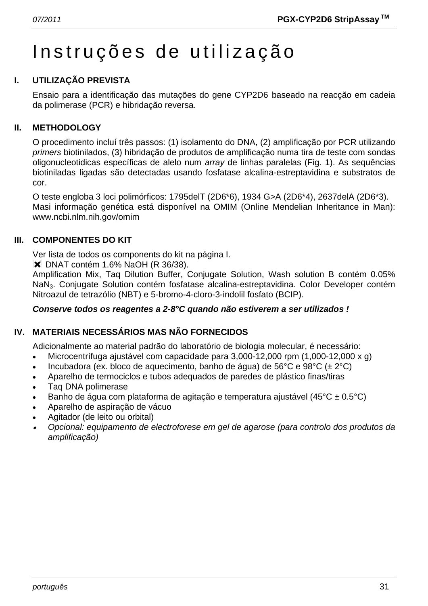# Instruções de utilização

# **I. UTILIZAÇÃO PREVISTA**

Ensaio para a identificação das mutações do gene CYP2D6 baseado na reacção em cadeia da polimerase (PCR) e hibridação reversa.

### **II. METHODOLOGY**

O procedimento incluí três passos: (1) isolamento do DNA, (2) amplificação por PCR utilizando *primers* biotinilados, (3) hibridação de produtos de amplificação numa tira de teste com sondas oligonucleotidicas específicas de alelo num *array* de linhas paralelas (Fig. 1). As sequências biotiniladas ligadas são detectadas usando fosfatase alcalina-estreptavidina e substratos de cor.

O teste engloba 3 loci polimórficos: 1795delT (2D6\*6), 1934 G>A (2D6\*4), 2637delA (2D6\*3). Masi informação genética está disponível na OMIM (Online Mendelian Inheritance in Man): www.ncbi.nlm.nih.gov/omim

### **III. COMPONENTES DO KIT**

Ver lista de todos os components do kit na página I.

 $\blacktriangleright$  DNAT contém 1.6% NaOH (R 36/38).

Amplification Mix, Taq Dilution Buffer, Conjugate Solution, Wash solution B contém 0.05% NaN3. Conjugate Solution contém fosfatase alcalina-estreptavidina. Color Developer contém Nitroazul de tetrazólio (NBT) e 5-bromo-4-cloro-3-indolil fosfato (BCIP).

#### *Conserve todos os reagentes a 2-8°C quando não estiverem a ser utilizados !*

# **IV. MATERIAIS NECESSÁRIOS MAS NÃO FORNECIDOS**

Adicionalmente ao material padrão do laboratório de biologia molecular, é necessário:

- Microcentrífuga ajustável com capacidade para 3,000-12,000 rpm (1,000-12,000 x g)
- Incubadora (ex. bloco de aquecimento, banho de água) de 56°C e 98°C ( $\pm$  2°C)
- Aparelho de termociclos e tubos adequados de paredes de plástico finas/tiras
- Taq DNA polimerase
- Banho de água com plataforma de agitação e temperatura ajustável (45°C ± 0.5°C)
- Aparelho de aspiração de vácuo
- Agitador (de leito ou orbital)
- • *Opcional: equipamento de electroforese em gel de agarose (para controlo dos produtos da amplificação)*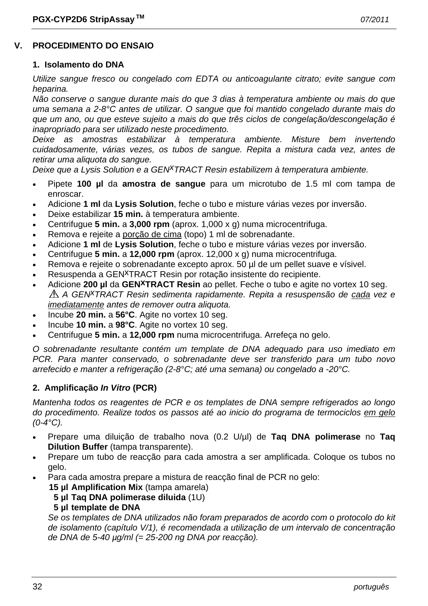#### **V. PROCEDIMENTO DO ENSAIO**

#### **1. Isolamento do DNA**

*Utilize sangue fresco ou congelado com EDTA ou anticoagulante citrato; evite sangue com heparina.* 

*Não conserve o sangue durante mais do que 3 dias à temperatura ambiente ou mais do que uma semana a 2-8°C antes de utilizar. O sangue que foi mantido congelado durante mais do que um ano, ou que esteve sujeito a mais do que três ciclos de congelação/descongelação é inapropriado para ser utilizado neste procedimento.* 

*Deixe as amostras estabilizar à temperatura ambiente. Misture bem invertendo cuidadosamente, várias vezes, os tubos de sangue. Repita a mistura cada vez, antes de retirar uma aliquota do sangue.* 

*Deixe que a Lysis Solution e a GENxTRACT Resin estabilizem à temperatura ambiente.*

- Pipete **100 µl** da **amostra de sangue** para um microtubo de 1.5 ml com tampa de enroscar.
- Adicione **1 ml** da **Lysis Solution**, feche o tubo e misture várias vezes por inversão.
- Deixe estabilizar **15 min.** à temperatura ambiente.
- Centrifugue **5 min.** a **3,000 rpm** (aprox. 1,000 x g) numa microcentrifuga.
- Remova e rejeite a porção de cima (topo) 1 ml de sobrenadante.
- Adicione **1 ml** de **Lysis Solution**, feche o tubo e misture várias vezes por inversão.
- Centrifugue **5 min.** a **12,000 rpm** (aprox. 12,000 x g) numa microcentrifuga.
- Remova e rejeite o sobrenadante excepto aprox. 50 µl de um pellet suave e vísivel.
- Resuspenda a GEN<sup>X</sup>TRACT Resin por rotação insistente do recipiente.
- Adicione **200 µl** da **GENxTRACT Resin** ao pellet. Feche o tubo e agite no vortex 10 seg. *A GENxTRACT Resin sedimenta rapidamente. Repita a resuspensão de cada vez e imediatamente antes de remover outra aliquota.*
- Incube **20 min.** a **56°C**. Agite no vortex 10 seg.
- Incube **10 min.** a **98°C**. Agite no vortex 10 seg.
- Centrifugue **5 min.** a **12,000 rpm** numa microcentrifuga. Arrefeça no gelo.

*O sobrenadante resultante contém um template de DNA adequado para uso imediato em PCR. Para manter conservado, o sobrenadante deve ser transferido para um tubo novo arrefecido e manter a refrigeração (2-8°C; até uma semana) ou congelado a -20°C.* 

#### **2. Amplificação** *In Vitro* **(PCR)**

*Mantenha todos os reagentes de PCR e os templates de DNA sempre refrigerados ao longo do procedimento. Realize todos os passos até ao inicio do programa de termociclos em gelo (0-4°C).* 

- Prepare uma diluição de trabalho nova (0.2 U/µl) de **Taq DNA polimerase** no **Taq Dilution Buffer** (tampa transparente).
- Prepare um tubo de reacção para cada amostra a ser amplificada. Coloque os tubos no gelo.
	- Para cada amostra prepare a mistura de reacção final de PCR no gelo:
		- **15 µl Amplification Mix** (tampa amarela)
			- **5 µl Taq DNA polimerase diluida** (1U)

#### **5 µl template de DNA**

 *Se os templates de DNA utilizados não foram preparados de acordo com o protocolo do kit de isolamento (capítulo V/1), é recomendada a utilização de um intervalo de concentração de DNA de 5-40 µg/ml (= 25-200 ng DNA por reacção).*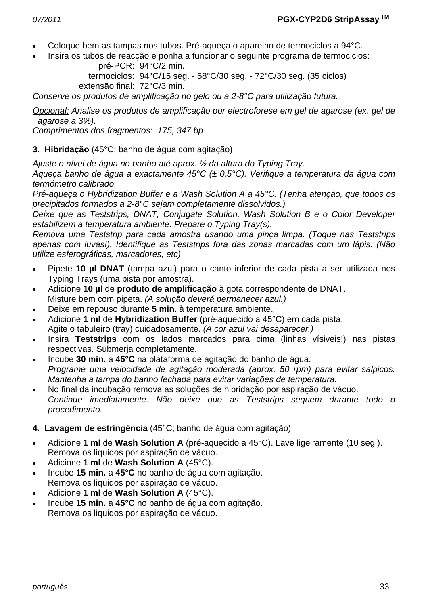- Coloque bem as tampas nos tubos. Pré-aqueça o aparelho de termociclos a 94°C.
- Insira os tubos de reacção e ponha a funcionar o seguinte programa de termociclos: pré-PCR: 94°C/2 min.

 termociclos: 94°C/15 seg. - 58°C/30 seg. - 72°C/30 seg. (35 ciclos) extensão final: 72°C/3 min.

*Conserve os produtos de amplificação no gelo ou a 2-8°C para utilização futura.* 

*Opcional: Analise os produtos de amplificação por electroforese em gel de agarose (ex. gel de agarose a 3%).* 

*Comprimentos dos fragmentos: 175, 347 bp* 

**3. Hibridação** (45°C; banho de água com agitação)

*Ajuste o nível de água no banho até aprox. ½ da altura do Typing Tray.* 

*Aqueça banho de água a exactamente 45°C (± 0.5°C). Verifique a temperatura da água com termómetro calibrado* 

*Pré-aqueça o Hybridization Buffer e a Wash Solution A a 45°C. (Tenha atenção, que todos os precipitados formados a 2-8°C sejam completamente dissolvidos.)* 

*Deixe que as Teststrips, DNAT, Conjugate Solution, Wash Solution B e o Color Developer estabilizem à temperatura ambiente. Prepare o Typing Tray(s).* 

*Remova uma Teststrip para cada amostra usando uma pinça limpa. (Toque nas Teststrips apenas com luvas!). Identifique as Teststrips fora das zonas marcadas com um lápis. (Não utilize esferográficas, marcadores, etc)* 

- Pipete **10 µl DNAT** (tampa azul) para o canto inferior de cada pista a ser utilizada nos Typing Trays (uma pista por amostra).
- Adicione **10 µl** de **produto de amplificação** à gota correspondente de DNAT. Misture bem com pipeta. *(A solução deverá permanecer azul.)*
- Deixe em repouso durante **5 min.** à temperatura ambiente.
- Adicione **1 ml** de **Hybridization Buffer** (pré-aquecido a 45°C) em cada pista. Agite o tabuleiro (tray) cuidadosamente. *(A cor azul vai desaparecer.)*
- Insira **Teststrips** com os lados marcados para cima (linhas vísiveis!) nas pistas respectivas. Submerja completamente.
- Incube **30 min.** a **45°C** na plataforma de agitação do banho de água.  *Programe uma velocidade de agitação moderada (aprox. 50 rpm) para evitar salpicos. Mantenha a tampa do banho fechada para evitar variações de temperatura.*
- No final da incubação remova as soluções de hibridação por aspiração de vácuo.  *Continue imediatamente. Não deixe que as Teststrips sequem durante todo o procedimento.*
- **4. Lavagem de estringência** (45°C; banho de água com agitação)
- Adicione **1 ml** de **Wash Solution A** (pré-aquecido a 45°C). Lave ligeiramente (10 seg.). Remova os liquidos por aspiração de vácuo.
- Adicione **1 ml** de **Wash Solution A** (45°C).
- Incube **15 min.** a **45°C** no banho de água com agitação. Remova os liquidos por aspiração de vácuo.
- Adicione **1 ml** de **Wash Solution A** (45°C).
- Incube **15 min.** a **45°C** no banho de água com agitação. Remova os liquidos por aspiração de vácuo.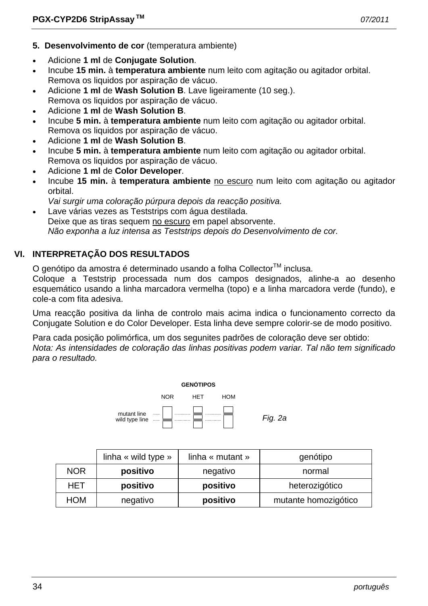- **5. Desenvolvimento de cor** (temperatura ambiente)
- Adicione **1 ml** de **Conjugate Solution**.
- Incube **15 min.** à **temperatura ambiente** num leito com agitação ou agitador orbital. Remova os liquidos por aspiração de vácuo.
- Adicione **1 ml** de **Wash Solution B**. Lave ligeiramente (10 seg.). Remova os liquidos por aspiração de vácuo.
- Adicione **1 ml** de **Wash Solution B**.
- Incube **5 min.** à **temperatura ambiente** num leito com agitação ou agitador orbital. Remova os liquidos por aspiração de vácuo.
- Adicione **1 ml** de **Wash Solution B**.
- Incube **5 min.** à **temperatura ambiente** num leito com agitação ou agitador orbital. Remova os liquidos por aspiração de vácuo.
- Adicione **1 ml** de **Color Developer**.
- Incube **15 min.** à **temperatura ambiente** no escuro num leito com agitação ou agitador orbital.
- *Vai surgir uma coloração púrpura depois da reacção positiva.*
- Lave várias vezes as Teststrips com água destilada. Deixe que as tiras sequem no escuro em papel absorvente.  *Não exponha a luz intensa as Teststrips depois do Desenvolvimento de cor.*

# **VI. INTERPRETAÇÃO DOS RESULTADOS**

O genótipo da amostra é determinado usando a folha Collector<sup>™</sup> inclusa.

Coloque a Teststrip processada num dos campos designados, alinhe-a ao desenho esquemático usando a linha marcadora vermelha (topo) e a linha marcadora verde (fundo), e cole-a com fita adesiva.

Uma reacção positiva da linha de controlo mais acima indica o funcionamento correcto da Conjugate Solution e do Color Developer. Esta linha deve sempre colorir-se de modo positivo.

Para cada posição polimórfica, um dos segunites padrões de coloração deve ser obtido: *Nota: As intensidades de coloração das linhas positivas podem variar. Tal não tem significado para o resultado.* 



|            | linha « wild type » | linha « mutant » | genótipo             |
|------------|---------------------|------------------|----------------------|
| <b>NOR</b> | positivo            | negativo         | normal               |
| <b>HET</b> | positivo            | positivo         | heterozigótico       |
| <b>HOM</b> | negativo            | positivo         | mutante homozigótico |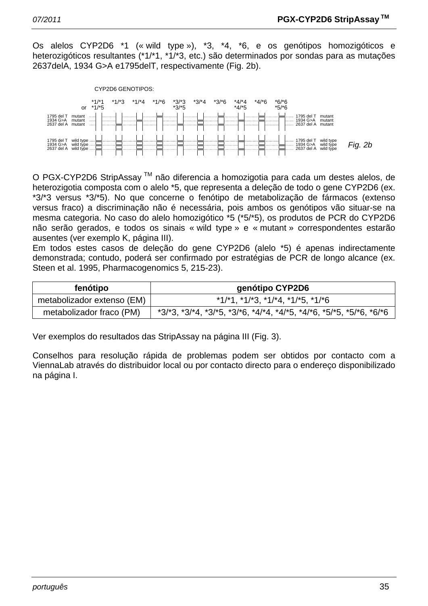Os alelos CYP2D6 \*1 (« wild type »), \*3, \*4, \*6, e os genótipos homozigóticos e heterozigóticos resultantes (\*1/\*1, \*1/\*3, etc.) são determinados por sondas para as mutações 2637delA, 1934 G>A e1795delT, respectivamente (Fig. 2b).



O PGX-CYP2D6 StripAssay TM não diferencia a homozigotia para cada um destes alelos, de heterozigotia composta com o alelo \*5, que representa a deleção de todo o gene CYP2D6 (ex. \*3/\*3 versus \*3/\*5). No que concerne o fenótipo de metabolização de fármacos (extenso versus fraco) a discriminação não é necessária, pois ambos os genótipos vão situar-se na mesma categoria. No caso do alelo homozigótico \*5 (\*5/\*5), os produtos de PCR do CYP2D6 não serão gerados, e todos os sinais « wild type » e « mutant » correspondentes estarão ausentes (ver exemplo K, página III).

Em todos estes casos de deleção do gene CYP2D6 (alelo \*5) é apenas indirectamente demonstrada; contudo, poderá ser confirmado por estratégias de PCR de longo alcance (ex. Steen et al. 1995, Pharmacogenomics 5, 215-23).

| fenótipo                   | genótipo CYP2D6                                                                         |  |
|----------------------------|-----------------------------------------------------------------------------------------|--|
| metabolizador extenso (EM) | $*1/*1$ , $*1/*3$ , $*1/*4$ , $*1/*5$ , $*1/*6$                                         |  |
| metabolizador fraco (PM)   | $*3/3$ , $*3/4$ , $*3/5$ , $*3/5$ , $*4/4$ , $*4/5$ , $*4/6$ , $*5/5$ , $*5/6$ , $*6/6$ |  |

Ver exemplos do resultados das StripAssay na página III (Fig. 3).

Conselhos para resolução rápida de problemas podem ser obtidos por contacto com a ViennaLab através do distribuidor local ou por contacto directo para o endereço disponibilizado na página I.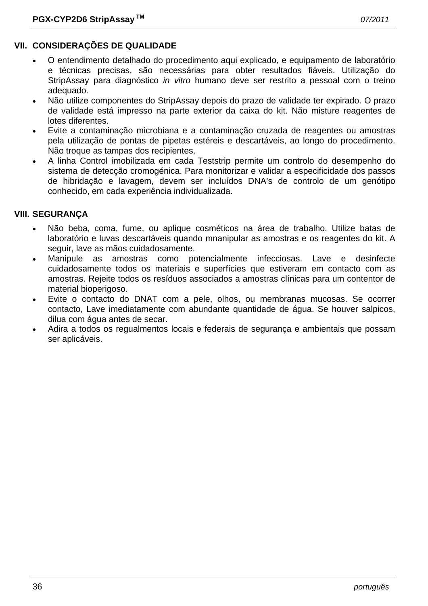# **VII. CONSIDERAÇÕES DE QUALIDADE**

- O entendimento detalhado do procedimento aqui explicado, e equipamento de laboratório e técnicas precisas, são necessárias para obter resultados fiáveis. Utilização do StripAssay para diagnóstico *in vitro* humano deve ser restrito a pessoal com o treino adequado.
- Não utilize componentes do StripAssay depois do prazo de validade ter expirado. O prazo de validade está impresso na parte exterior da caixa do kit. Não misture reagentes de lotes diferentes.
- Evite a contaminação microbiana e a contaminação cruzada de reagentes ou amostras pela utilização de pontas de pipetas estéreis e descartáveis, ao longo do procedimento. Não troque as tampas dos recipientes.
- A linha Control imobilizada em cada Teststrip permite um controlo do desempenho do sistema de detecção cromogénica. Para monitorizar e validar a especificidade dos passos de hibridação e lavagem, devem ser incluídos DNA's de controlo de um genótipo conhecido, em cada experiência individualizada.

### **VIII. SEGURANÇA**

- Não beba, coma, fume, ou aplique cosméticos na área de trabalho. Utilize batas de laboratório e luvas descartáveis quando mnanipular as amostras e os reagentes do kit. A seguir, lave as mãos cuidadosamente.
- Manipule as amostras como potencialmente infecciosas. Lave e desinfecte cuidadosamente todos os materiais e superfícies que estiveram em contacto com as amostras. Rejeite todos os resíduos associados a amostras clínicas para um contentor de material bioperigoso.
- Evite o contacto do DNAT com a pele, olhos, ou membranas mucosas. Se ocorrer contacto, Lave imediatamente com abundante quantidade de água. Se houver salpicos, dilua com água antes de secar.
- Adira a todos os regualmentos locais e federais de segurança e ambientais que possam ser aplicáveis.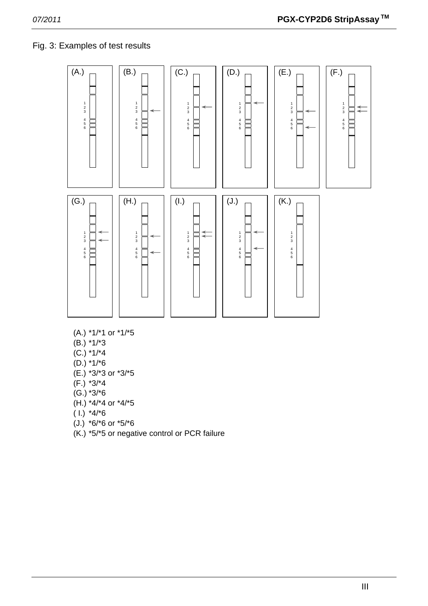# Fig. 3: Examples of test results



- (A.) \*1/\*1 or \*1/\*5
- (B.) \*1/\*3
- $(C.)$  \*1/\*4
- (D.) \*1/\*6
- (E.) \*3/\*3 or \*3/\*5
- (F.) \*3/\*4
- (G.) \*3/\*6
- (H.) \*4/\*4 or \*4/\*5
- $(1.)$  \*4/\*6
- (J.) \*6/\*6 or \*5/\*6
- (K.) \*5/\*5 or negative control or PCR failure